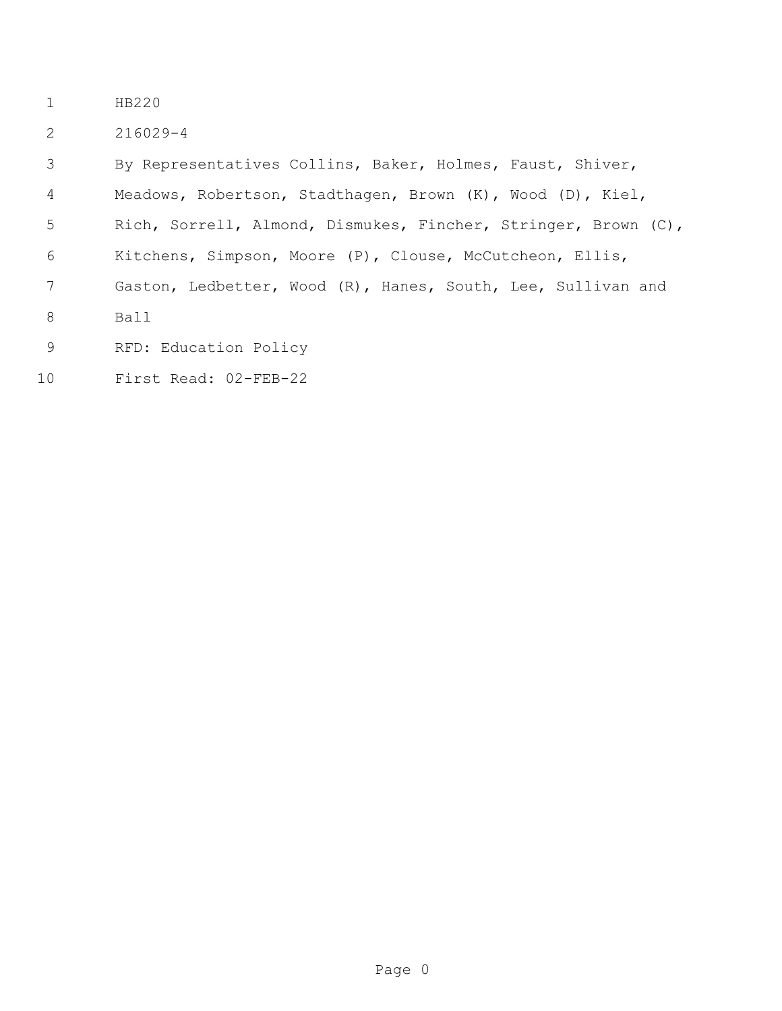- HB220
- 216029-4

 By Representatives Collins, Baker, Holmes, Faust, Shiver, Meadows, Robertson, Stadthagen, Brown (K), Wood (D), Kiel, Rich, Sorrell, Almond, Dismukes, Fincher, Stringer, Brown (C), Kitchens, Simpson, Moore (P), Clouse, McCutcheon, Ellis, Gaston, Ledbetter, Wood (R), Hanes, South, Lee, Sullivan and Ball RFD: Education Policy

First Read: 02-FEB-22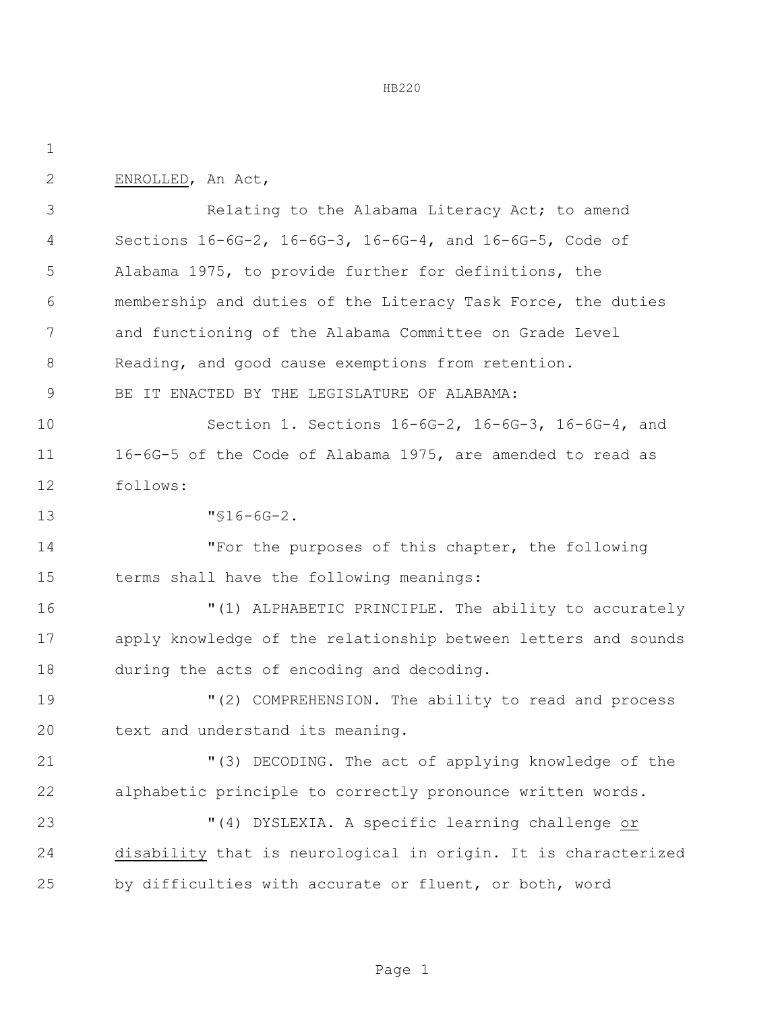| $\mathbf 1$ |                                                                |  |  |  |
|-------------|----------------------------------------------------------------|--|--|--|
| 2           | ENROLLED, An Act,                                              |  |  |  |
| 3           | Relating to the Alabama Literacy Act; to amend                 |  |  |  |
| 4           | Sections 16-6G-2, 16-6G-3, 16-6G-4, and 16-6G-5, Code of       |  |  |  |
| 5           | Alabama 1975, to provide further for definitions, the          |  |  |  |
| 6           | membership and duties of the Literacy Task Force, the duties   |  |  |  |
| 7           | and functioning of the Alabama Committee on Grade Level        |  |  |  |
| 8           | Reading, and good cause exemptions from retention.             |  |  |  |
| 9           | BE IT ENACTED BY THE LEGISLATURE OF ALABAMA:                   |  |  |  |
| 10          | Section 1. Sections 16-6G-2, 16-6G-3, 16-6G-4, and             |  |  |  |
| 11          | 16-6G-5 of the Code of Alabama 1975, are amended to read as    |  |  |  |
| 12          | follows:                                                       |  |  |  |
| 13          | $"$ \$16-6G-2.                                                 |  |  |  |
| 14          | "For the purposes of this chapter, the following               |  |  |  |
| 15          | terms shall have the following meanings:                       |  |  |  |
| 16          | "(1) ALPHABETIC PRINCIPLE. The ability to accurately           |  |  |  |
| 17          | apply knowledge of the relationship between letters and sounds |  |  |  |
| 18          | during the acts of encoding and decoding.                      |  |  |  |
| 19          | "(2) COMPREHENSION. The ability to read and process            |  |  |  |
| 20          | text and understand its meaning.                               |  |  |  |
| 21          | "(3) DECODING. The act of applying knowledge of the            |  |  |  |
| 22          | alphabetic principle to correctly pronounce written words.     |  |  |  |
| 23          | "(4) DYSLEXIA. A specific learning challenge or                |  |  |  |
| 24          | disability that is neurological in origin. It is characterized |  |  |  |
| 25          | by difficulties with accurate or fluent, or both, word         |  |  |  |
|             |                                                                |  |  |  |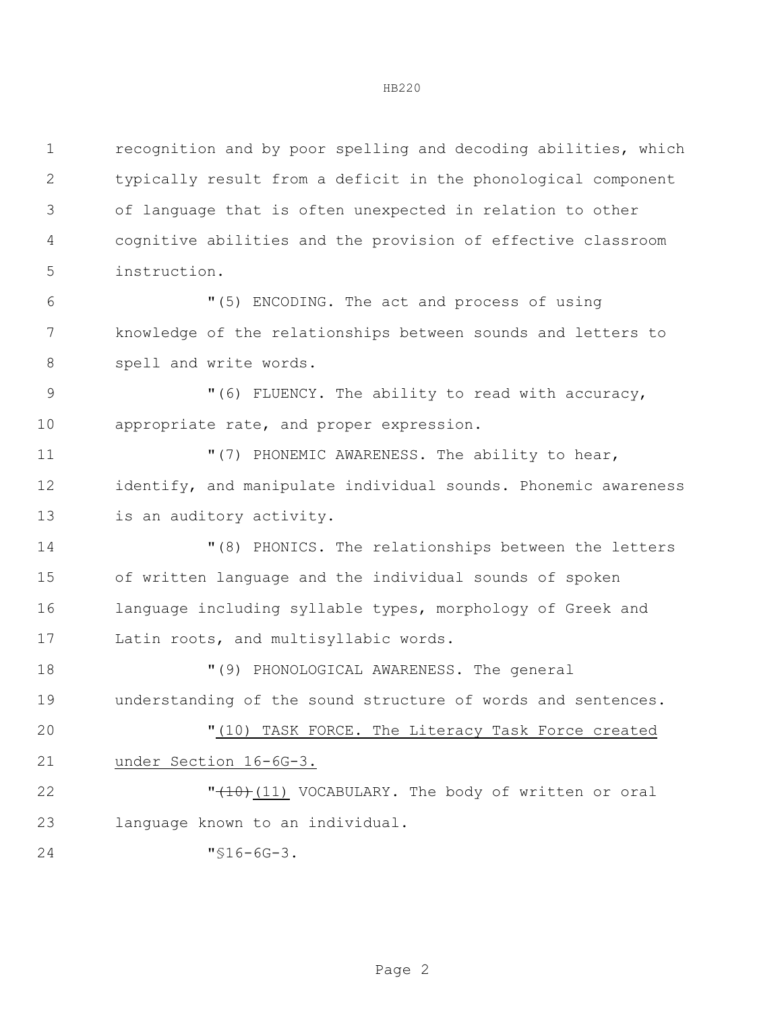recognition and by poor spelling and decoding abilities, which typically result from a deficit in the phonological component of language that is often unexpected in relation to other cognitive abilities and the provision of effective classroom instruction.

 "(5) ENCODING. The act and process of using knowledge of the relationships between sounds and letters to 8 spell and write words.

9 "(6) FLUENCY. The ability to read with accuracy, 10 appropriate rate, and proper expression.

**11 "**(7) PHONEMIC AWARENESS. The ability to hear, identify, and manipulate individual sounds. Phonemic awareness 13 is an auditory activity.

 "(8) PHONICS. The relationships between the letters of written language and the individual sounds of spoken language including syllable types, morphology of Greek and Latin roots, and multisyllabic words.

 "(9) PHONOLOGICAL AWARENESS. The general understanding of the sound structure of words and sentences.

 "(10) TASK FORCE. The Literacy Task Force created under Section 16-6G-3.

**"**(10)(11) VOCABULARY. The body of written or oral language known to an individual.

"§16-6G-3.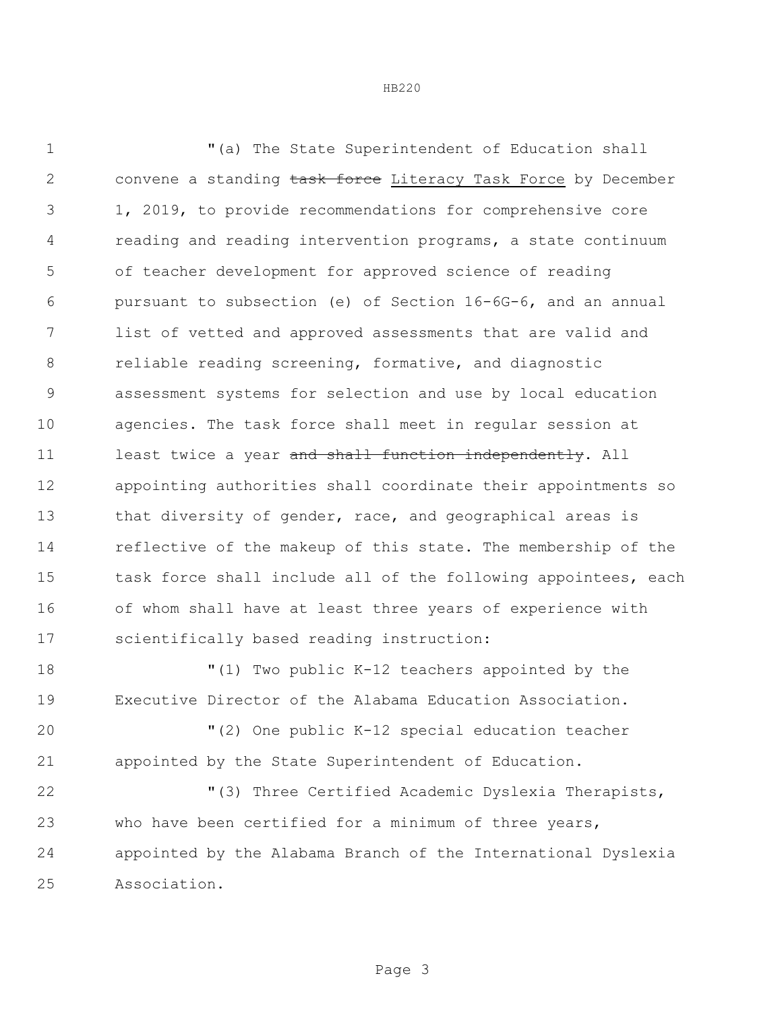"(a) The State Superintendent of Education shall 2 convene a standing task force Literacy Task Force by December 1, 2019, to provide recommendations for comprehensive core reading and reading intervention programs, a state continuum of teacher development for approved science of reading pursuant to subsection (e) of Section 16-6G-6, and an annual list of vetted and approved assessments that are valid and reliable reading screening, formative, and diagnostic assessment systems for selection and use by local education agencies. The task force shall meet in regular session at 11 least twice a year and shall function independently. All appointing authorities shall coordinate their appointments so 13 that diversity of gender, race, and geographical areas is reflective of the makeup of this state. The membership of the task force shall include all of the following appointees, each of whom shall have at least three years of experience with scientifically based reading instruction:

 "(1) Two public K-12 teachers appointed by the Executive Director of the Alabama Education Association.

 "(2) One public K-12 special education teacher appointed by the State Superintendent of Education.

 "(3) Three Certified Academic Dyslexia Therapists, who have been certified for a minimum of three years, appointed by the Alabama Branch of the International Dyslexia Association.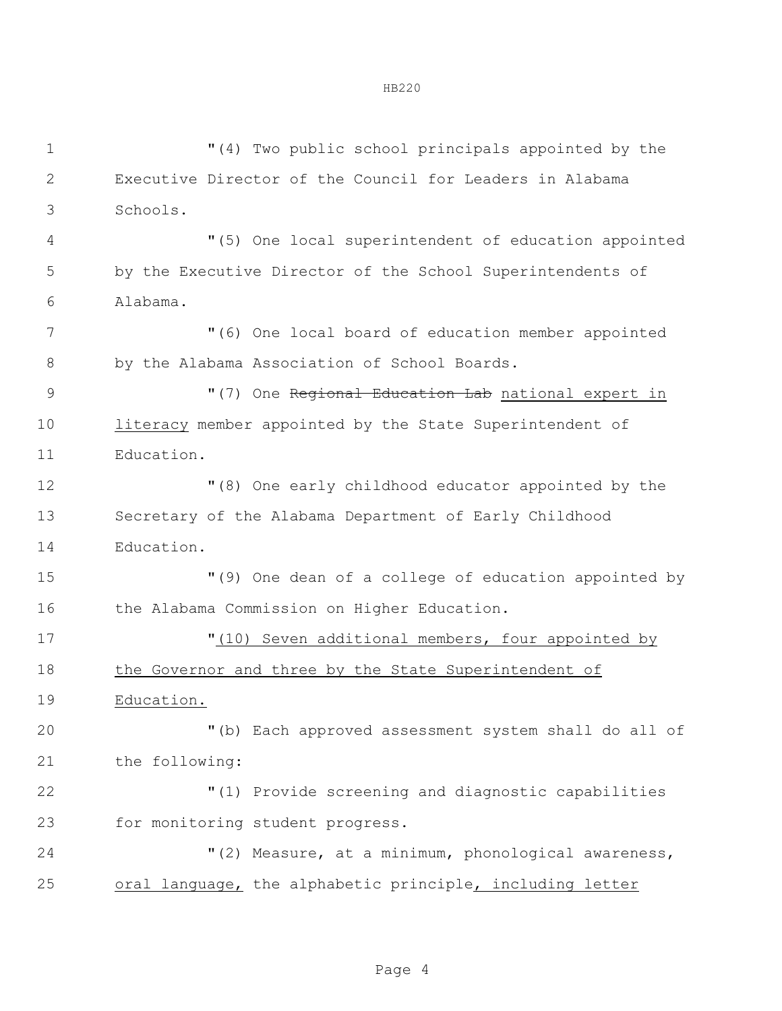"(4) Two public school principals appointed by the Executive Director of the Council for Leaders in Alabama Schools. "(5) One local superintendent of education appointed by the Executive Director of the School Superintendents of Alabama. "(6) One local board of education member appointed by the Alabama Association of School Boards. 9 "(7) One Regional Education Lab national expert in literacy member appointed by the State Superintendent of Education. "(8) One early childhood educator appointed by the Secretary of the Alabama Department of Early Childhood Education. "(9) One dean of a college of education appointed by 16 the Alabama Commission on Higher Education.  $(10)$  Seven additional members, four appointed by 18 the Governor and three by the State Superintendent of Education. "(b) Each approved assessment system shall do all of the following: "(1) Provide screening and diagnostic capabilities for monitoring student progress. "(2) Measure, at a minimum, phonological awareness, oral language, the alphabetic principle, including letter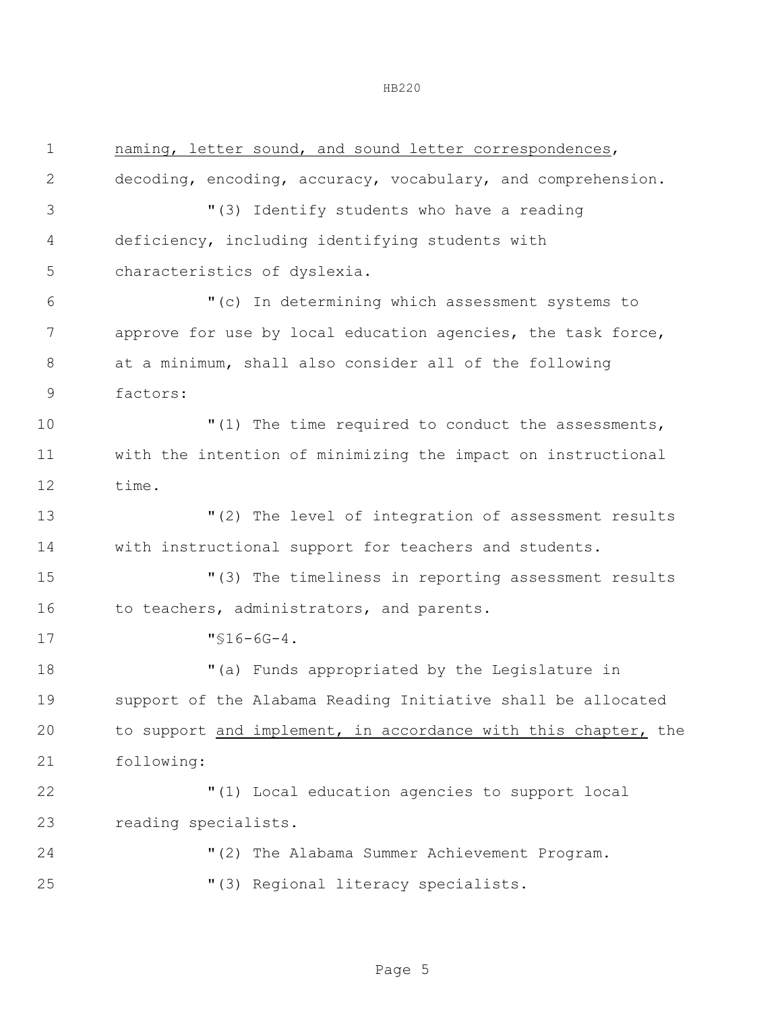| $\mathbf 1$    | naming, letter sound, and sound letter correspondences,        |
|----------------|----------------------------------------------------------------|
| $\mathbf{2}$   | decoding, encoding, accuracy, vocabulary, and comprehension.   |
| 3              | "(3) Identify students who have a reading                      |
| $\overline{4}$ | deficiency, including identifying students with                |
| 5              | characteristics of dyslexia.                                   |
| 6              | "(c) In determining which assessment systems to                |
| 7              | approve for use by local education agencies, the task force,   |
| $8\,$          | at a minimum, shall also consider all of the following         |
| $\mathsf 9$    | factors:                                                       |
| 10             | "(1) The time required to conduct the assessments,             |
| 11             | with the intention of minimizing the impact on instructional   |
| 12             | time.                                                          |
| 13             | "(2) The level of integration of assessment results            |
| 14             | with instructional support for teachers and students.          |
| 15             | "(3) The timeliness in reporting assessment results            |
| 16             | to teachers, administrators, and parents.                      |
| 17             | $"$ \$16-6G-4.                                                 |
| 18             | "(a) Funds appropriated by the Legislature in                  |
| 19             | support of the Alabama Reading Initiative shall be allocated   |
| 20             | to support and implement, in accordance with this chapter, the |
| 21             | following:                                                     |
| 22             | "(1) Local education agencies to support local                 |
| 23             | reading specialists.                                           |
| 24             | "(2) The Alabama Summer Achievement Program.                   |
| 25             | "(3) Regional literacy specialists.                            |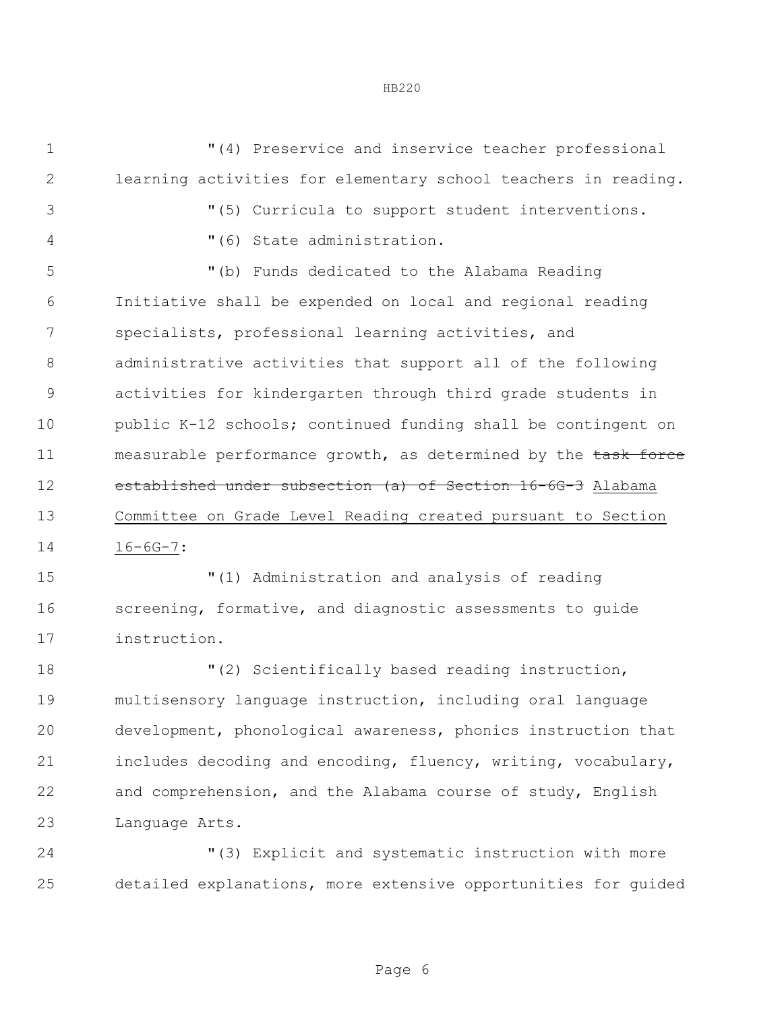"(4) Preservice and inservice teacher professional learning activities for elementary school teachers in reading. "(5) Curricula to support student interventions. "(6) State administration. "(b) Funds dedicated to the Alabama Reading Initiative shall be expended on local and regional reading specialists, professional learning activities, and administrative activities that support all of the following activities for kindergarten through third grade students in public K-12 schools; continued funding shall be contingent on 11 measurable performance growth, as determined by the task force established under subsection (a) of Section 16-6G-3 Alabama Committee on Grade Level Reading created pursuant to Section 16-6G-7:

 "(1) Administration and analysis of reading screening, formative, and diagnostic assessments to guide instruction.

 $(2)$  Scientifically based reading instruction, multisensory language instruction, including oral language development, phonological awareness, phonics instruction that includes decoding and encoding, fluency, writing, vocabulary, and comprehension, and the Alabama course of study, English Language Arts.

 "(3) Explicit and systematic instruction with more detailed explanations, more extensive opportunities for guided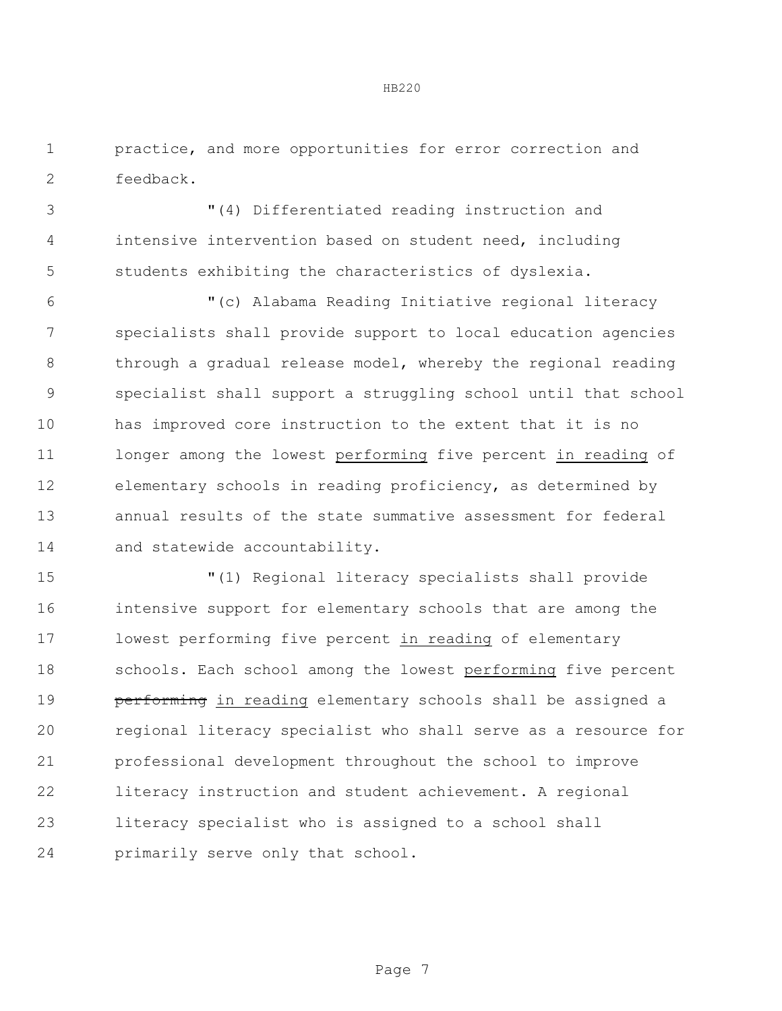practice, and more opportunities for error correction and feedback.

 "(4) Differentiated reading instruction and intensive intervention based on student need, including students exhibiting the characteristics of dyslexia.

 "(c) Alabama Reading Initiative regional literacy specialists shall provide support to local education agencies 8 through a gradual release model, whereby the regional reading specialist shall support a struggling school until that school has improved core instruction to the extent that it is no longer among the lowest performing five percent in reading of elementary schools in reading proficiency, as determined by annual results of the state summative assessment for federal 14 and statewide accountability.

 "(1) Regional literacy specialists shall provide intensive support for elementary schools that are among the lowest performing five percent in reading of elementary schools. Each school among the lowest performing five percent **performing** in reading elementary schools shall be assigned a regional literacy specialist who shall serve as a resource for professional development throughout the school to improve literacy instruction and student achievement. A regional literacy specialist who is assigned to a school shall primarily serve only that school.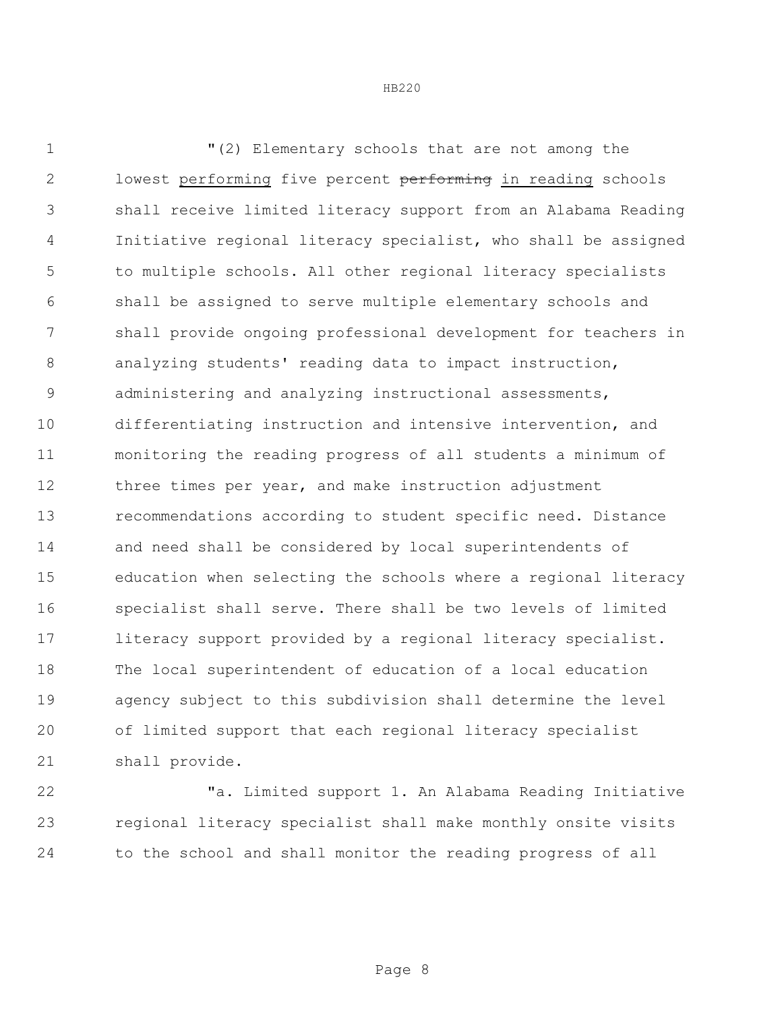"(2) Elementary schools that are not among the 2 lowest performing five percent performing in reading schools shall receive limited literacy support from an Alabama Reading Initiative regional literacy specialist, who shall be assigned to multiple schools. All other regional literacy specialists shall be assigned to serve multiple elementary schools and shall provide ongoing professional development for teachers in analyzing students' reading data to impact instruction, administering and analyzing instructional assessments, differentiating instruction and intensive intervention, and monitoring the reading progress of all students a minimum of 12 three times per year, and make instruction adjustment recommendations according to student specific need. Distance and need shall be considered by local superintendents of education when selecting the schools where a regional literacy specialist shall serve. There shall be two levels of limited 17 literacy support provided by a regional literacy specialist. The local superintendent of education of a local education agency subject to this subdivision shall determine the level of limited support that each regional literacy specialist shall provide.

 "a. Limited support 1. An Alabama Reading Initiative regional literacy specialist shall make monthly onsite visits to the school and shall monitor the reading progress of all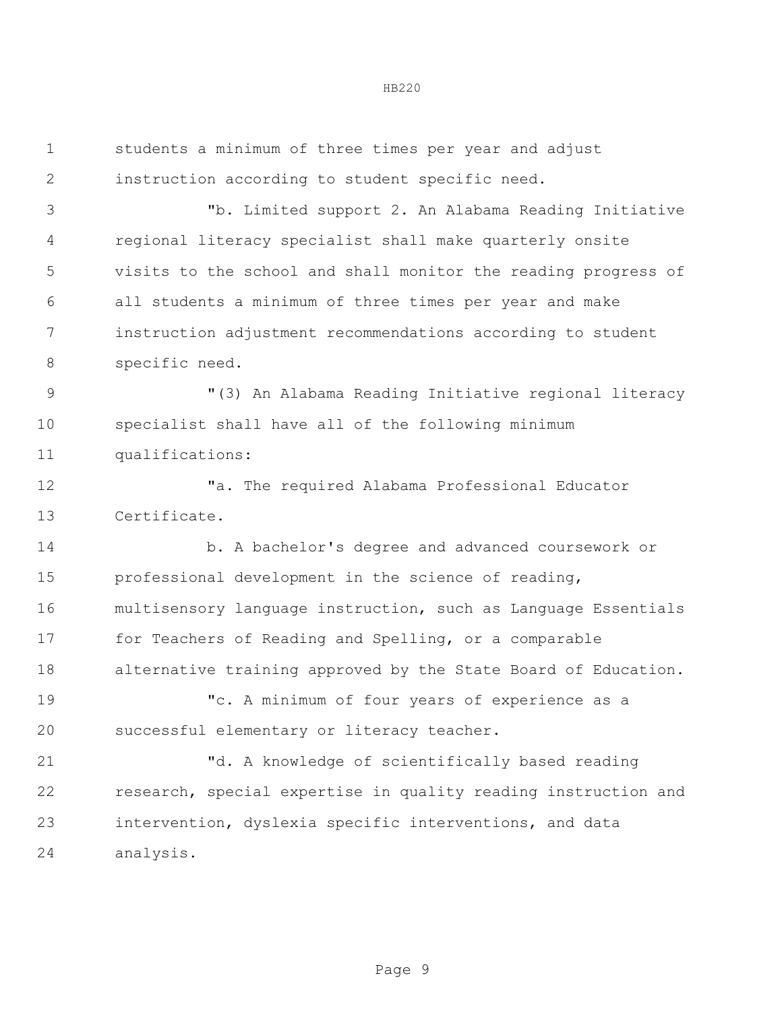students a minimum of three times per year and adjust instruction according to student specific need. "b. Limited support 2. An Alabama Reading Initiative regional literacy specialist shall make quarterly onsite visits to the school and shall monitor the reading progress of all students a minimum of three times per year and make instruction adjustment recommendations according to student specific need. "(3) An Alabama Reading Initiative regional literacy specialist shall have all of the following minimum qualifications: "a. The required Alabama Professional Educator Certificate. b. A bachelor's degree and advanced coursework or professional development in the science of reading, multisensory language instruction, such as Language Essentials for Teachers of Reading and Spelling, or a comparable alternative training approved by the State Board of Education. "c. A minimum of four years of experience as a successful elementary or literacy teacher. "d. A knowledge of scientifically based reading research, special expertise in quality reading instruction and intervention, dyslexia specific interventions, and data analysis.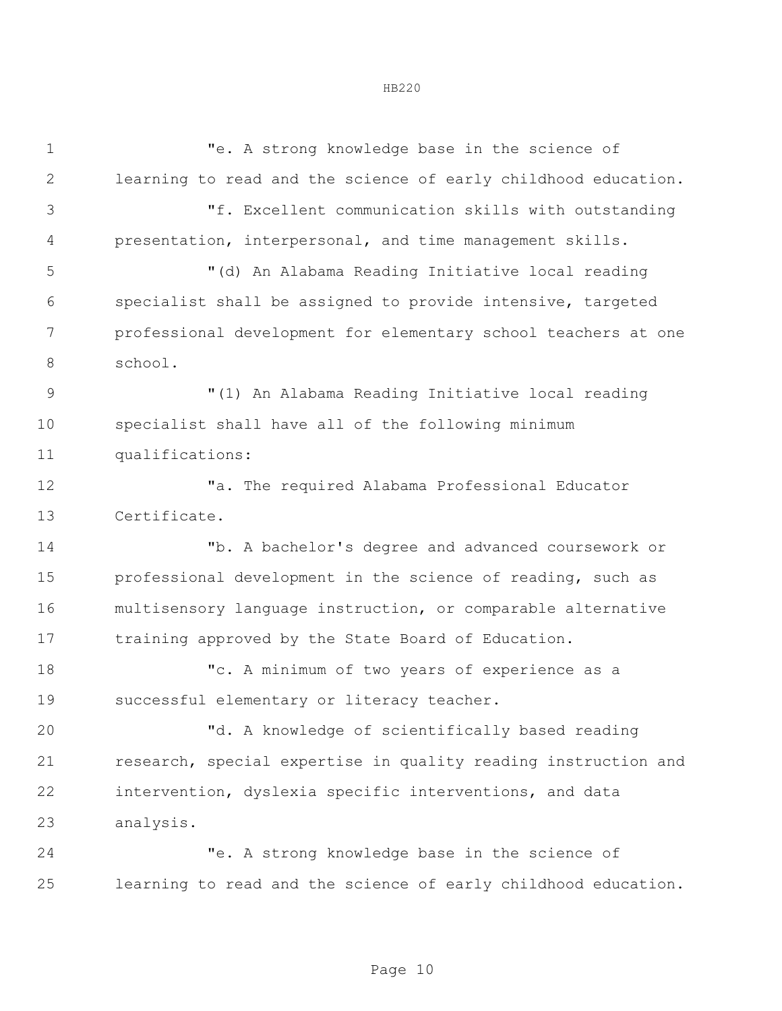"e. A strong knowledge base in the science of learning to read and the science of early childhood education. "f. Excellent communication skills with outstanding presentation, interpersonal, and time management skills. "(d) An Alabama Reading Initiative local reading specialist shall be assigned to provide intensive, targeted professional development for elementary school teachers at one school. "(1) An Alabama Reading Initiative local reading specialist shall have all of the following minimum qualifications: "a. The required Alabama Professional Educator Certificate. "b. A bachelor's degree and advanced coursework or 15 professional development in the science of reading, such as multisensory language instruction, or comparable alternative training approved by the State Board of Education. "c. A minimum of two years of experience as a successful elementary or literacy teacher. "d. A knowledge of scientifically based reading research, special expertise in quality reading instruction and intervention, dyslexia specific interventions, and data analysis. "e. A strong knowledge base in the science of learning to read and the science of early childhood education.

## HB220

Page 10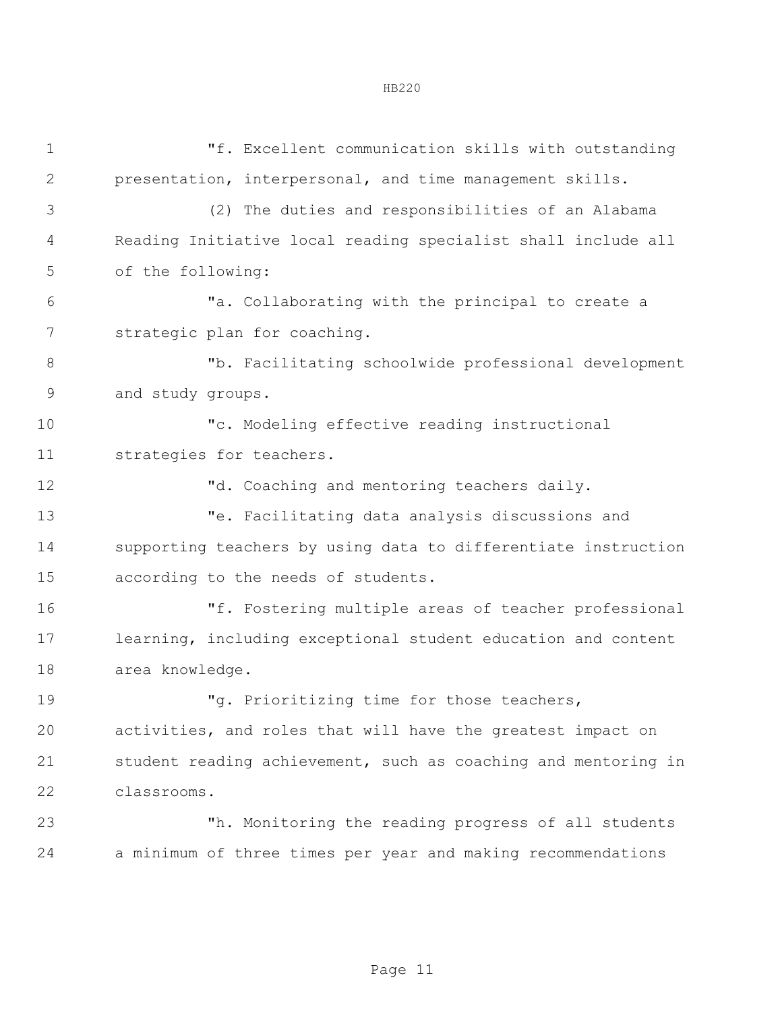| $\mathbf 1$    | "f. Excellent communication skills with outstanding            |  |  |
|----------------|----------------------------------------------------------------|--|--|
| $\mathbf{2}$   | presentation, interpersonal, and time management skills.       |  |  |
| 3              | (2) The duties and responsibilities of an Alabama              |  |  |
| 4              | Reading Initiative local reading specialist shall include all  |  |  |
| 5              | of the following:                                              |  |  |
| 6              | "a. Collaborating with the principal to create a               |  |  |
| 7              | strategic plan for coaching.                                   |  |  |
| 8              | "b. Facilitating schoolwide professional development           |  |  |
| $\overline{9}$ | and study groups.                                              |  |  |
| 10             | "c. Modeling effective reading instructional                   |  |  |
| 11             | strategies for teachers.                                       |  |  |
| 12             | "d. Coaching and mentoring teachers daily.                     |  |  |
| 13             | "e. Facilitating data analysis discussions and                 |  |  |
| 14             | supporting teachers by using data to differentiate instruction |  |  |
| 15             | according to the needs of students.                            |  |  |
| 16             | "f. Fostering multiple areas of teacher professional           |  |  |
| 17             | learning, including exceptional student education and content  |  |  |
| 18             | area knowledge.                                                |  |  |
| 19             | "g. Prioritizing time for those teachers,                      |  |  |
| 20             | activities, and roles that will have the greatest impact on    |  |  |
| 21             | student reading achievement, such as coaching and mentoring in |  |  |
| 22             | classrooms.                                                    |  |  |
| 23             | "h. Monitoring the reading progress of all students            |  |  |
| 24             | a minimum of three times per year and making recommendations   |  |  |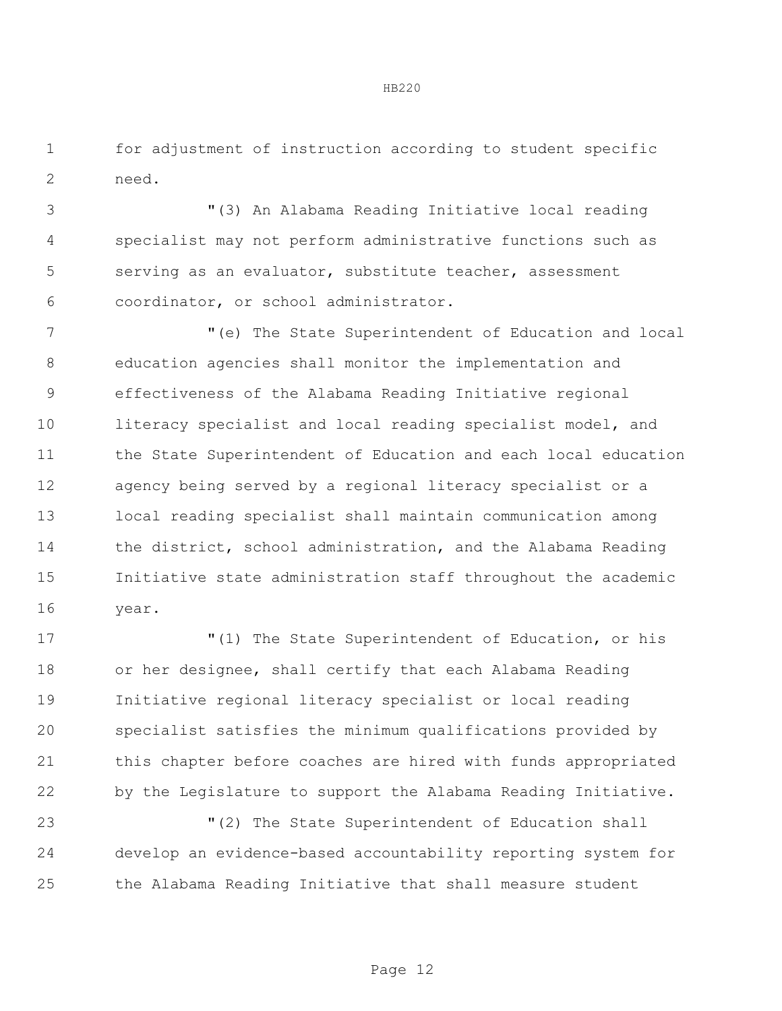for adjustment of instruction according to student specific need.

 "(3) An Alabama Reading Initiative local reading specialist may not perform administrative functions such as serving as an evaluator, substitute teacher, assessment coordinator, or school administrator.

 "(e) The State Superintendent of Education and local education agencies shall monitor the implementation and effectiveness of the Alabama Reading Initiative regional 10 literacy specialist and local reading specialist model, and 11 the State Superintendent of Education and each local education agency being served by a regional literacy specialist or a local reading specialist shall maintain communication among the district, school administration, and the Alabama Reading Initiative state administration staff throughout the academic year.

 $(1)$  The State Superintendent of Education, or his or her designee, shall certify that each Alabama Reading Initiative regional literacy specialist or local reading specialist satisfies the minimum qualifications provided by this chapter before coaches are hired with funds appropriated by the Legislature to support the Alabama Reading Initiative.

 "(2) The State Superintendent of Education shall develop an evidence-based accountability reporting system for the Alabama Reading Initiative that shall measure student

Page 12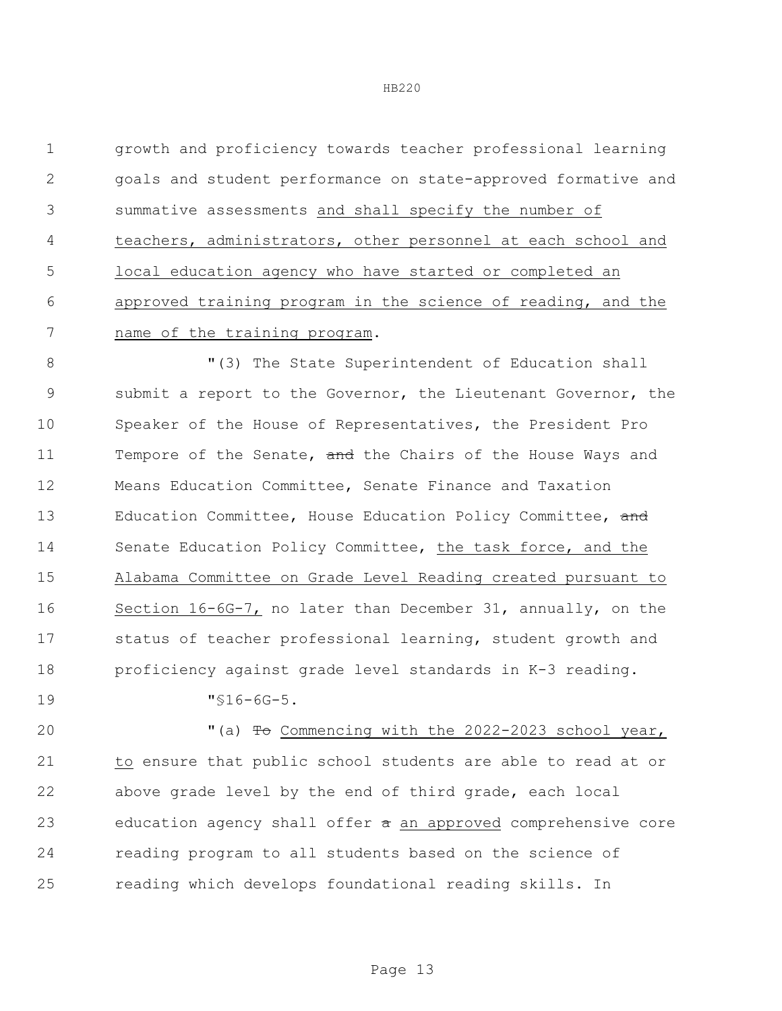growth and proficiency towards teacher professional learning goals and student performance on state-approved formative and summative assessments and shall specify the number of teachers, administrators, other personnel at each school and local education agency who have started or completed an approved training program in the science of reading, and the name of the training program.

8 The State Superintendent of Education shall submit a report to the Governor, the Lieutenant Governor, the Speaker of the House of Representatives, the President Pro 11 Tempore of the Senate, and the Chairs of the House Ways and Means Education Committee, Senate Finance and Taxation 13 Education Committee, House Education Policy Committee, and Senate Education Policy Committee, the task force, and the Alabama Committee on Grade Level Reading created pursuant to Section 16-6G-7, no later than December 31, annually, on the status of teacher professional learning, student growth and proficiency against grade level standards in K-3 reading.

"§16-6G-5.

20 "(a) To Commencing with the 2022-2023 school year, to ensure that public school students are able to read at or above grade level by the end of third grade, each local 23 education agency shall offer  $\pi$  an approved comprehensive core reading program to all students based on the science of reading which develops foundational reading skills. In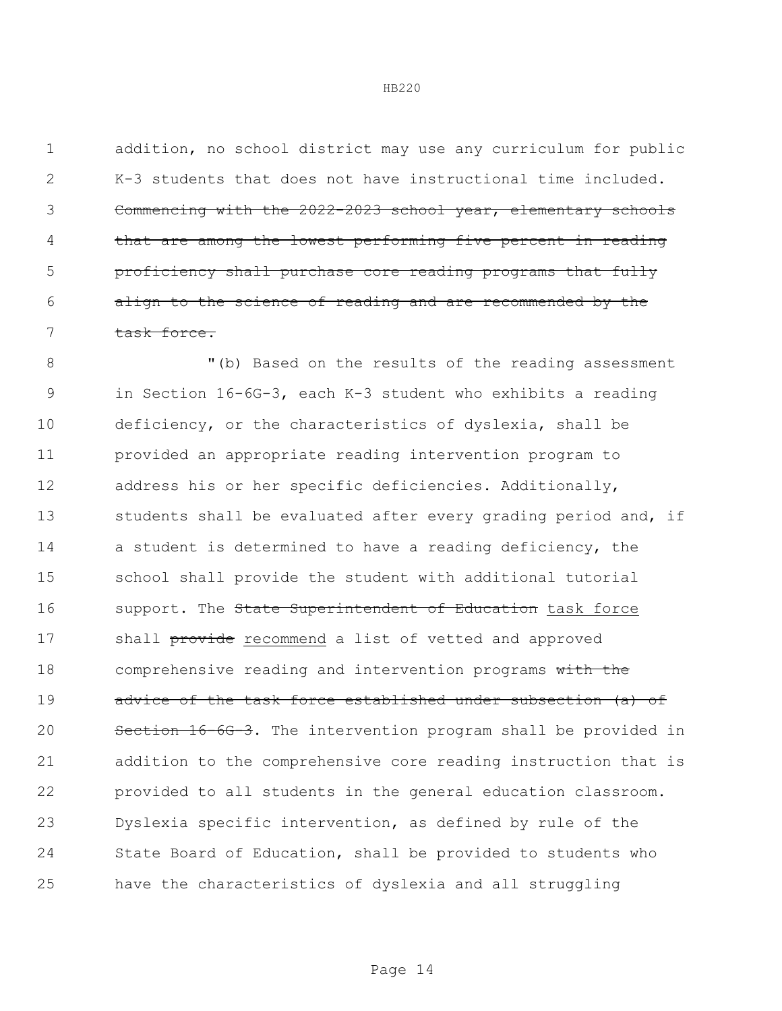addition, no school district may use any curriculum for public K-3 students that does not have instructional time included. Commencing with the 2022-2023 school year, elementary schools 4 that are among the lowest performing five percent in reading proficiency shall purchase core reading programs that fully align to the science of reading and are recommended by the task force.

 "(b) Based on the results of the reading assessment in Section 16-6G-3, each K-3 student who exhibits a reading deficiency, or the characteristics of dyslexia, shall be provided an appropriate reading intervention program to address his or her specific deficiencies. Additionally, 13 students shall be evaluated after every grading period and, if a student is determined to have a reading deficiency, the school shall provide the student with additional tutorial 16 support. The State Superintendent of Education task force 17 shall provide recommend a list of vetted and approved 18 comprehensive reading and intervention programs with the 19 advice of the task force established under subsection (a) of Section 16-6G-3. The intervention program shall be provided in addition to the comprehensive core reading instruction that is provided to all students in the general education classroom. Dyslexia specific intervention, as defined by rule of the State Board of Education, shall be provided to students who have the characteristics of dyslexia and all struggling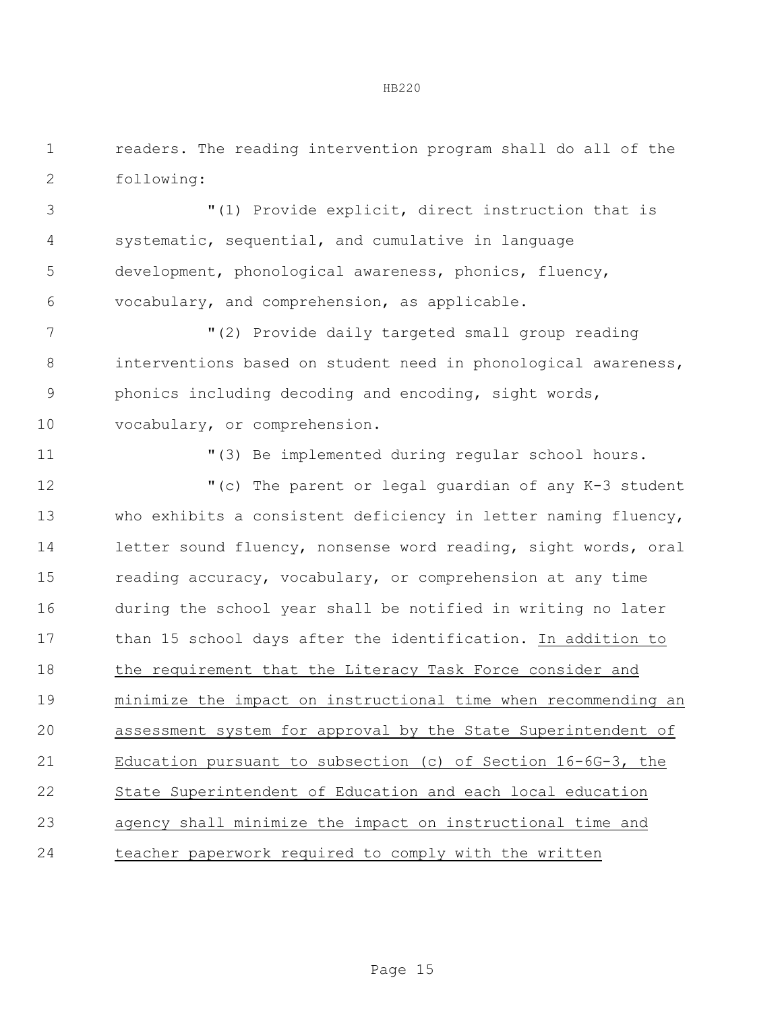readers. The reading intervention program shall do all of the following:

 "(1) Provide explicit, direct instruction that is systematic, sequential, and cumulative in language development, phonological awareness, phonics, fluency, vocabulary, and comprehension, as applicable.

 "(2) Provide daily targeted small group reading 8 interventions based on student need in phonological awareness, phonics including decoding and encoding, sight words, vocabulary, or comprehension.

"(3) Be implemented during regular school hours.

 "(c) The parent or legal guardian of any K-3 student who exhibits a consistent deficiency in letter naming fluency, letter sound fluency, nonsense word reading, sight words, oral reading accuracy, vocabulary, or comprehension at any time during the school year shall be notified in writing no later than 15 school days after the identification. In addition to the requirement that the Literacy Task Force consider and minimize the impact on instructional time when recommending an assessment system for approval by the State Superintendent of Education pursuant to subsection (c) of Section 16-6G-3, the State Superintendent of Education and each local education agency shall minimize the impact on instructional time and teacher paperwork required to comply with the written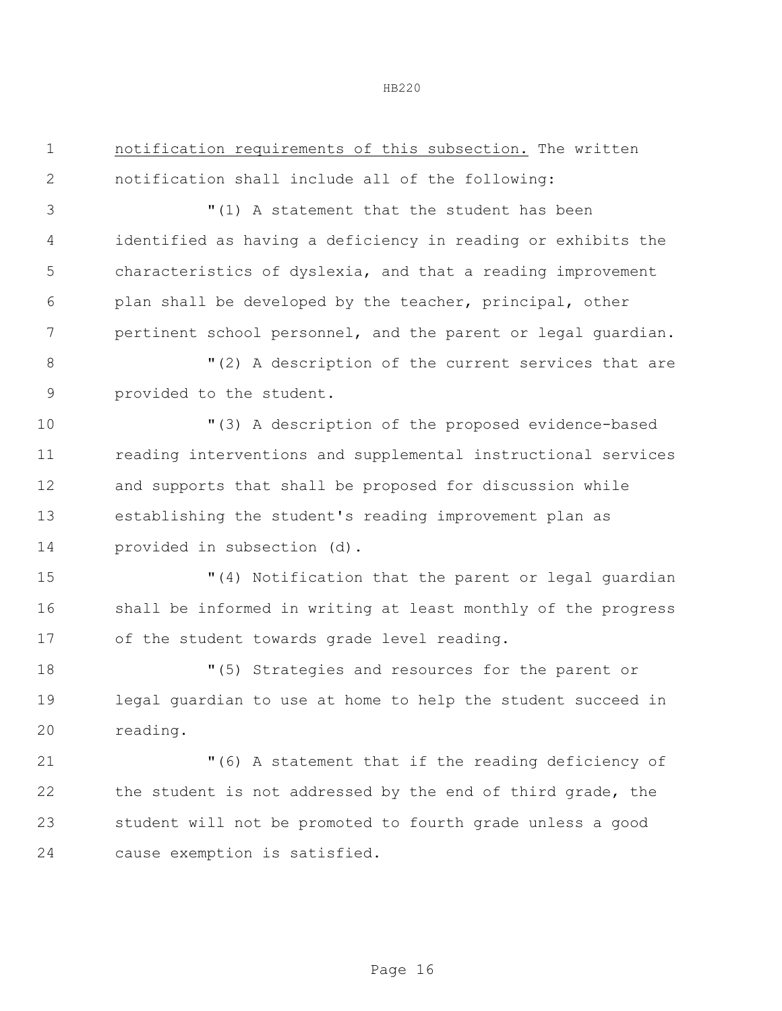| $\mathbf 1$   | notification requirements of this subsection. The written     |  |  |  |
|---------------|---------------------------------------------------------------|--|--|--|
| $\mathbf{2}$  | notification shall include all of the following:              |  |  |  |
| 3             | "(1) A statement that the student has been                    |  |  |  |
| 4             | identified as having a deficiency in reading or exhibits the  |  |  |  |
| 5             | characteristics of dyslexia, and that a reading improvement   |  |  |  |
| 6             | plan shall be developed by the teacher, principal, other      |  |  |  |
| 7             | pertinent school personnel, and the parent or legal guardian. |  |  |  |
| $8\,$         | "(2) A description of the current services that are           |  |  |  |
| $\mathcal{G}$ | provided to the student.                                      |  |  |  |
| 10            | "(3) A description of the proposed evidence-based             |  |  |  |
| 11            | reading interventions and supplemental instructional services |  |  |  |
| 12            | and supports that shall be proposed for discussion while      |  |  |  |
| 13            | establishing the student's reading improvement plan as        |  |  |  |
| 14            | provided in subsection (d).                                   |  |  |  |
| 15            | "(4) Notification that the parent or legal guardian           |  |  |  |
| 16            | shall be informed in writing at least monthly of the progress |  |  |  |
| 17            | of the student towards grade level reading.                   |  |  |  |
| 18            | "(5) Strategies and resources for the parent or               |  |  |  |
| 19            | legal guardian to use at home to help the student succeed in  |  |  |  |
| 20            | reading.                                                      |  |  |  |
| 21            | "(6) A statement that if the reading deficiency of            |  |  |  |
| 22            | the student is not addressed by the end of third grade, the   |  |  |  |
| 23            | student will not be promoted to fourth grade unless a good    |  |  |  |
| 24            | cause exemption is satisfied.                                 |  |  |  |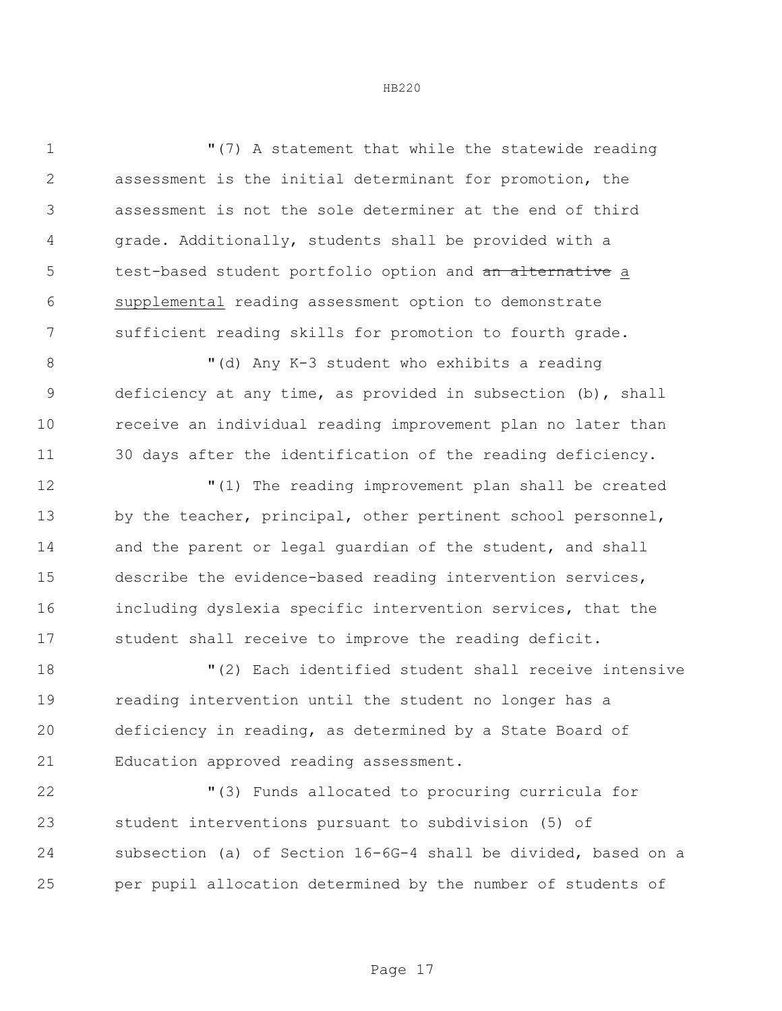"(7) A statement that while the statewide reading assessment is the initial determinant for promotion, the assessment is not the sole determiner at the end of third grade. Additionally, students shall be provided with a 5 test-based student portfolio option and an alternative a supplemental reading assessment option to demonstrate sufficient reading skills for promotion to fourth grade.

8 "(d) Any K-3 student who exhibits a reading deficiency at any time, as provided in subsection (b), shall receive an individual reading improvement plan no later than 30 days after the identification of the reading deficiency.

 "(1) The reading improvement plan shall be created 13 by the teacher, principal, other pertinent school personnel, 14 and the parent or legal quardian of the student, and shall describe the evidence-based reading intervention services, including dyslexia specific intervention services, that the student shall receive to improve the reading deficit.

 "(2) Each identified student shall receive intensive reading intervention until the student no longer has a deficiency in reading, as determined by a State Board of Education approved reading assessment.

 "(3) Funds allocated to procuring curricula for student interventions pursuant to subdivision (5) of subsection (a) of Section 16-6G-4 shall be divided, based on a per pupil allocation determined by the number of students of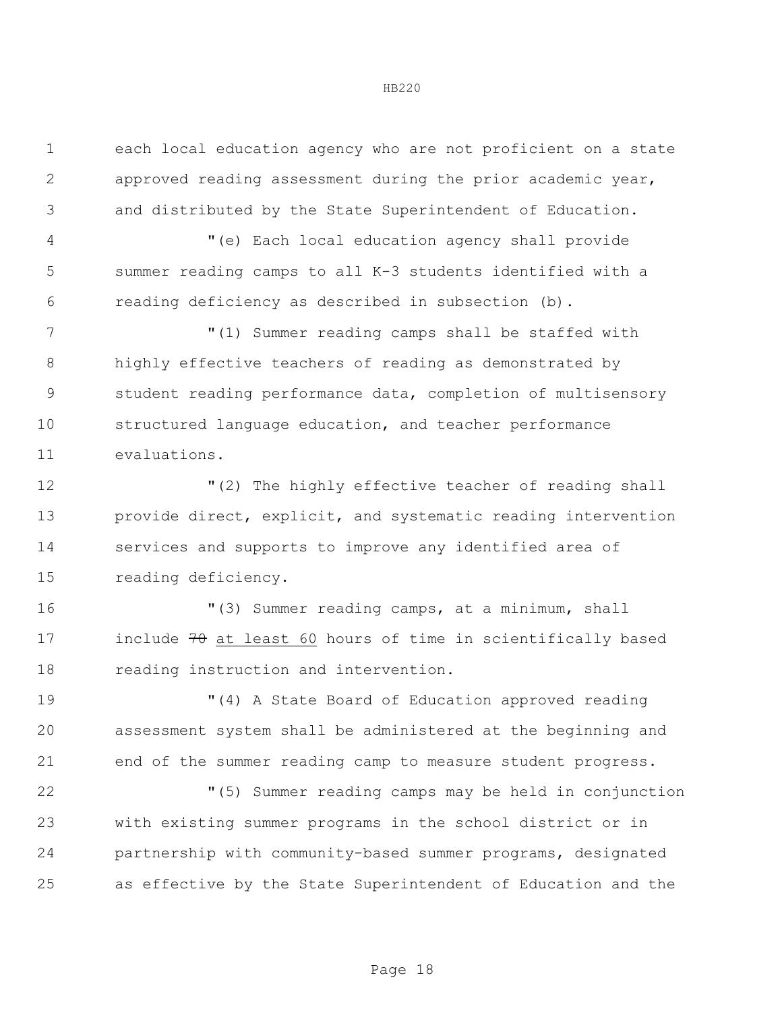each local education agency who are not proficient on a state approved reading assessment during the prior academic year, and distributed by the State Superintendent of Education. "(e) Each local education agency shall provide summer reading camps to all K-3 students identified with a reading deficiency as described in subsection (b). "(1) Summer reading camps shall be staffed with highly effective teachers of reading as demonstrated by student reading performance data, completion of multisensory structured language education, and teacher performance evaluations. "(2) The highly effective teacher of reading shall provide direct, explicit, and systematic reading intervention services and supports to improve any identified area of reading deficiency. "(3) Summer reading camps, at a minimum, shall 17 include at least 60 hours of time in scientifically based reading instruction and intervention. "(4) A State Board of Education approved reading assessment system shall be administered at the beginning and end of the summer reading camp to measure student progress. "(5) Summer reading camps may be held in conjunction with existing summer programs in the school district or in partnership with community-based summer programs, designated as effective by the State Superintendent of Education and the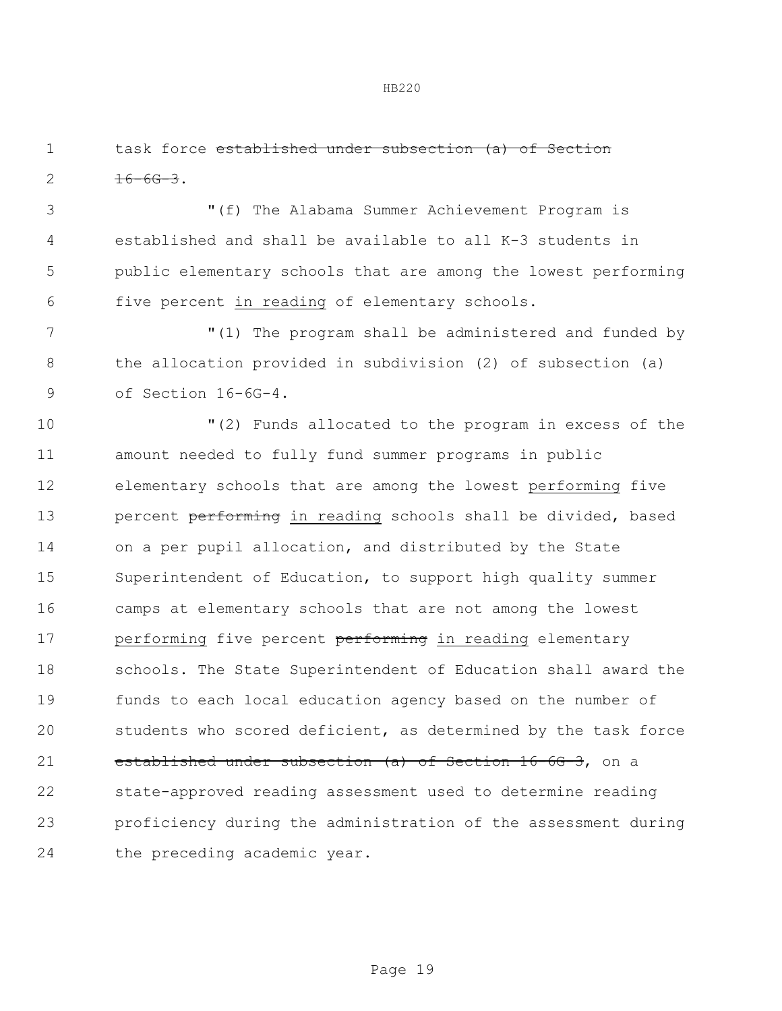task force established under subsection (a) of Section  $2 \frac{16-66-3}{2}$ 

 "(f) The Alabama Summer Achievement Program is established and shall be available to all K-3 students in public elementary schools that are among the lowest performing five percent in reading of elementary schools.

 "(1) The program shall be administered and funded by the allocation provided in subdivision (2) of subsection (a) of Section 16-6G-4.

 "(2) Funds allocated to the program in excess of the amount needed to fully fund summer programs in public elementary schools that are among the lowest performing five 13 bercent performing in reading schools shall be divided, based on a per pupil allocation, and distributed by the State Superintendent of Education, to support high quality summer camps at elementary schools that are not among the lowest 17 performing five percent performing in reading elementary schools. The State Superintendent of Education shall award the funds to each local education agency based on the number of students who scored deficient, as determined by the task force 21 established under subsection (a) of Section 16-6G-3, on a state-approved reading assessment used to determine reading proficiency during the administration of the assessment during the preceding academic year.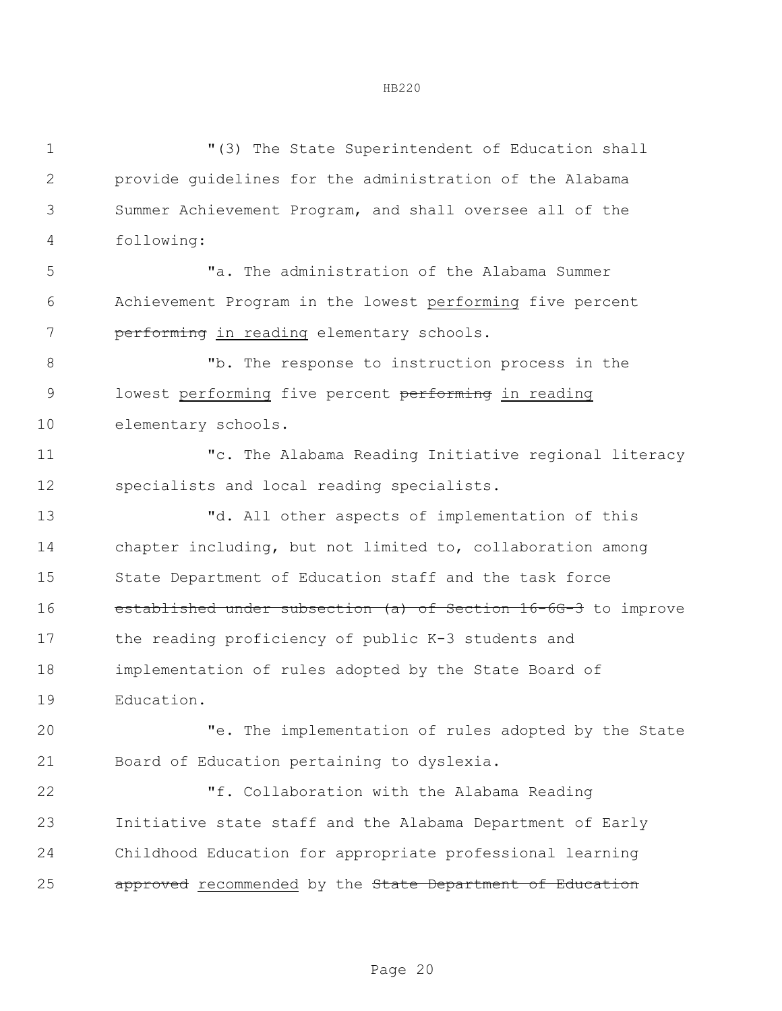| 1            | "(3) The State Superintendent of Education shall               |  |  |
|--------------|----------------------------------------------------------------|--|--|
| $\mathbf{2}$ | provide guidelines for the administration of the Alabama       |  |  |
| 3            | Summer Achievement Program, and shall oversee all of the       |  |  |
| 4            | following:                                                     |  |  |
| 5            | "a. The administration of the Alabama Summer                   |  |  |
| 6            | Achievement Program in the lowest performing five percent      |  |  |
| 7            | performing in reading elementary schools.                      |  |  |
| 8            | "b. The response to instruction process in the                 |  |  |
| 9            | lowest performing five percent performing in reading           |  |  |
| 10           | elementary schools.                                            |  |  |
| 11           | "c. The Alabama Reading Initiative regional literacy           |  |  |
| 12           | specialists and local reading specialists.                     |  |  |
| 13           | "d. All other aspects of implementation of this                |  |  |
| 14           | chapter including, but not limited to, collaboration among     |  |  |
| 15           | State Department of Education staff and the task force         |  |  |
| 16           | established under subsection (a) of Section 16-6G-3 to improve |  |  |
| 17           | the reading proficiency of public K-3 students and             |  |  |
| 18           | implementation of rules adopted by the State Board of          |  |  |
| 19           | Education.                                                     |  |  |
| 20           | "e. The implementation of rules adopted by the State           |  |  |
| 21           | Board of Education pertaining to dyslexia.                     |  |  |
| 22           | "f. Collaboration with the Alabama Reading                     |  |  |
| 23           | Initiative state staff and the Alabama Department of Early     |  |  |
| 24           | Childhood Education for appropriate professional learning      |  |  |
| 25           | approved recommended by the State Department of Education      |  |  |
|              |                                                                |  |  |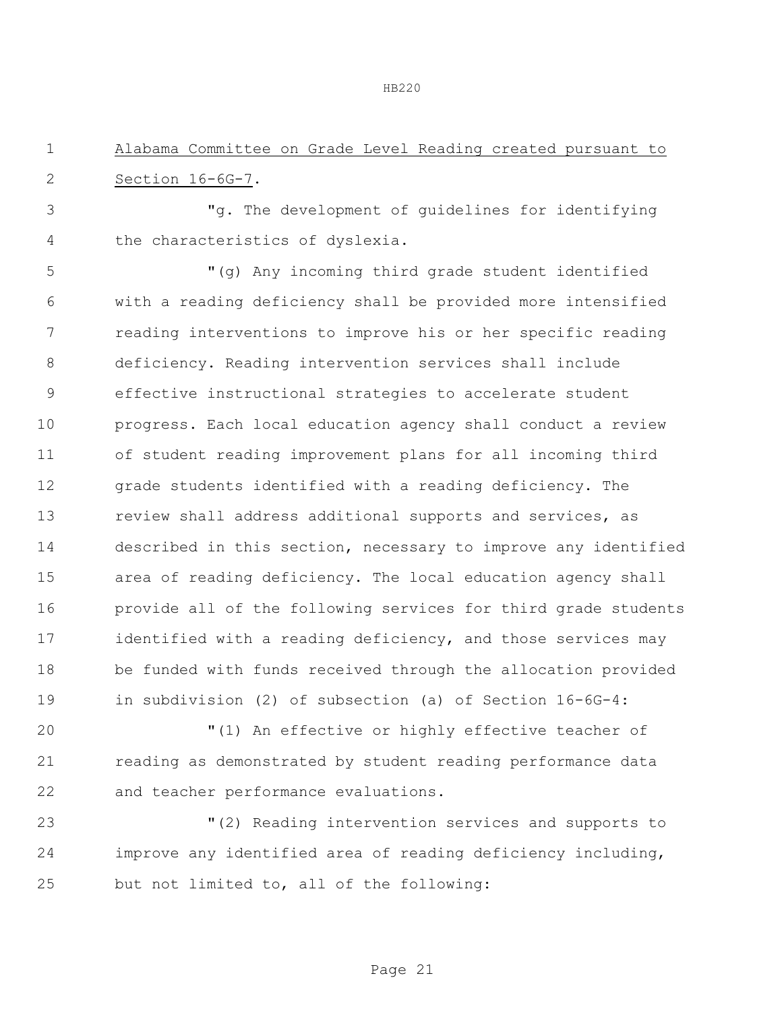Alabama Committee on Grade Level Reading created pursuant to Section 16-6G-7.

 "g. The development of guidelines for identifying the characteristics of dyslexia.

 "(g) Any incoming third grade student identified with a reading deficiency shall be provided more intensified reading interventions to improve his or her specific reading deficiency. Reading intervention services shall include effective instructional strategies to accelerate student progress. Each local education agency shall conduct a review of student reading improvement plans for all incoming third grade students identified with a reading deficiency. The review shall address additional supports and services, as described in this section, necessary to improve any identified area of reading deficiency. The local education agency shall provide all of the following services for third grade students identified with a reading deficiency, and those services may be funded with funds received through the allocation provided in subdivision (2) of subsection (a) of Section 16-6G-4:

 "(1) An effective or highly effective teacher of reading as demonstrated by student reading performance data and teacher performance evaluations.

 "(2) Reading intervention services and supports to improve any identified area of reading deficiency including, but not limited to, all of the following: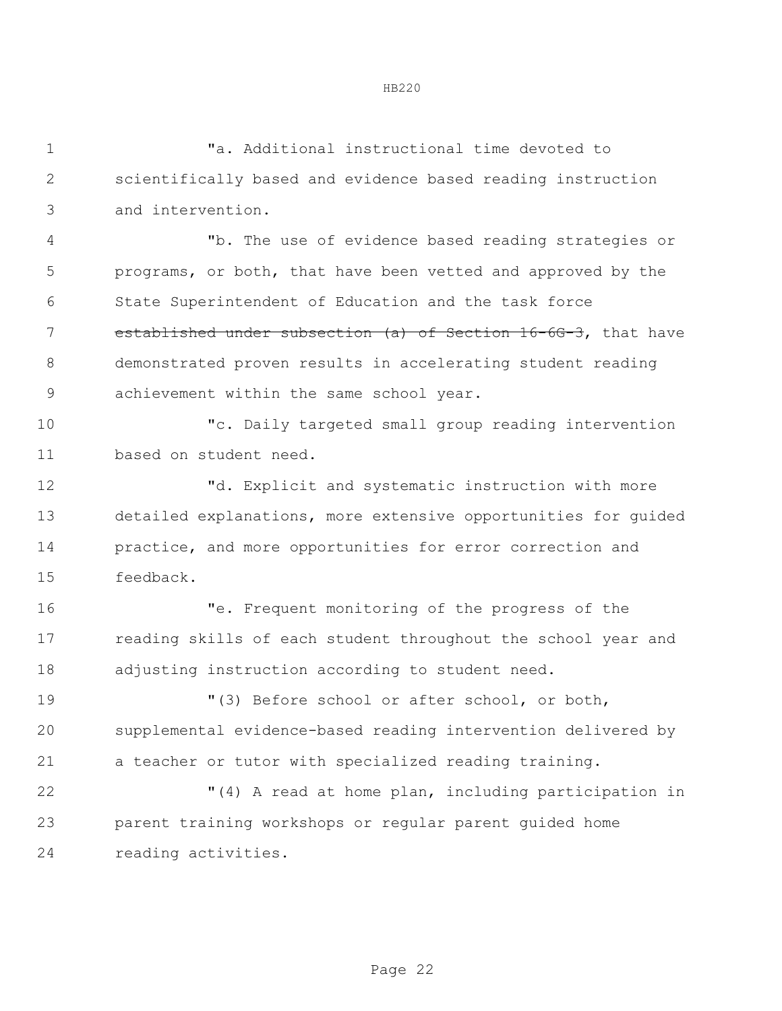|--|--|

| $\mathbf 1$  | "a. Additional instructional time devoted to                   |
|--------------|----------------------------------------------------------------|
| $\mathbf{2}$ | scientifically based and evidence based reading instruction    |
| 3            | and intervention.                                              |
| 4            | "b. The use of evidence based reading strategies or            |
| 5            | programs, or both, that have been vetted and approved by the   |
| 6            | State Superintendent of Education and the task force           |
| 7            | established under subsection (a) of Section 16-6G-3, that have |
| 8            | demonstrated proven results in accelerating student reading    |
| $\mathsf 9$  | achievement within the same school year.                       |
| 10           | "c. Daily targeted small group reading intervention            |
| 11           | based on student need.                                         |
| 12           | "d. Explicit and systematic instruction with more              |
| 13           | detailed explanations, more extensive opportunities for guided |
| 14           | practice, and more opportunities for error correction and      |
| 15           | feedback.                                                      |
| 16           | "e. Frequent monitoring of the progress of the                 |
| 17           | reading skills of each student throughout the school year and  |
| 18           | adjusting instruction according to student need.               |
| 19           | "(3) Before school or after school, or both,                   |
| 20           | supplemental evidence-based reading intervention delivered by  |
| 21           | a teacher or tutor with specialized reading training.          |
| 22           | "(4) A read at home plan, including participation in           |
| 23           | parent training workshops or regular parent guided home        |
| 24           | reading activities.                                            |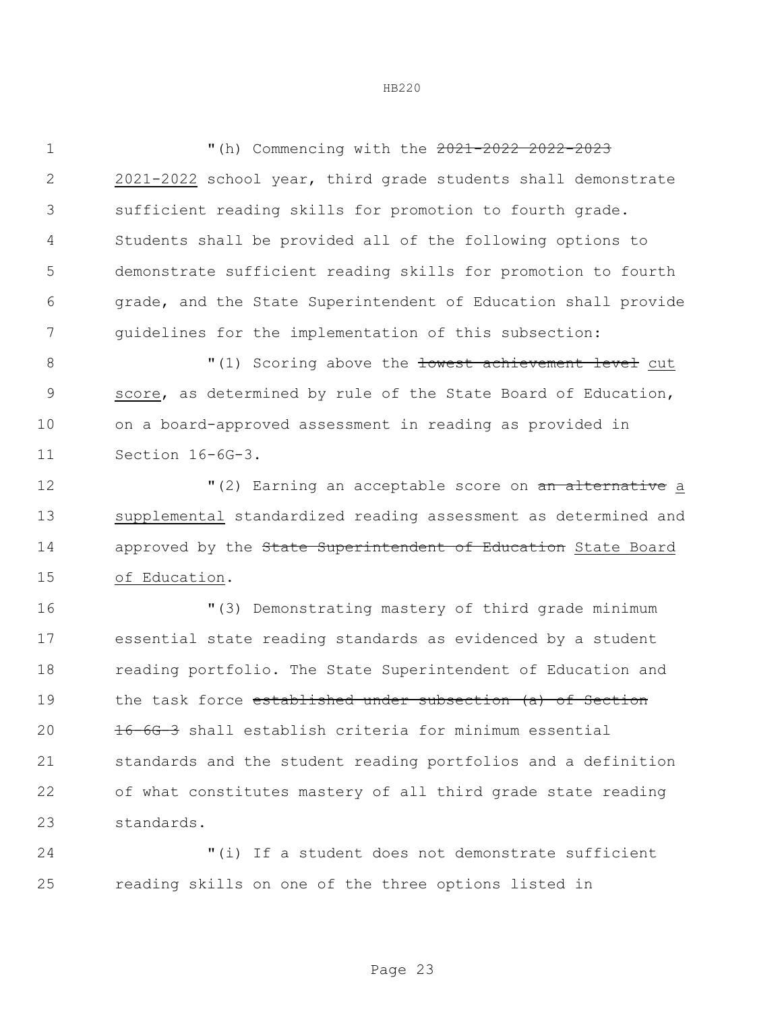"(h) Commencing with the 2021-2022 2022-2023 2021-2022 school year, third grade students shall demonstrate sufficient reading skills for promotion to fourth grade. Students shall be provided all of the following options to demonstrate sufficient reading skills for promotion to fourth grade, and the State Superintendent of Education shall provide guidelines for the implementation of this subsection:

 $\blacksquare(1)$  Scoring above the <del>lowest achievement level</del> cut score, as determined by rule of the State Board of Education, on a board-approved assessment in reading as provided in Section 16-6G-3.

 $(2)$  Earning an acceptable score on an alternative a supplemental standardized reading assessment as determined and 14 approved by the State Superintendent of Education State Board of Education.

 "(3) Demonstrating mastery of third grade minimum essential state reading standards as evidenced by a student reading portfolio. The State Superintendent of Education and 19 the task force established under subsection (a) of Section 16-6G-3 shall establish criteria for minimum essential standards and the student reading portfolios and a definition of what constitutes mastery of all third grade state reading standards.

 "(i) If a student does not demonstrate sufficient reading skills on one of the three options listed in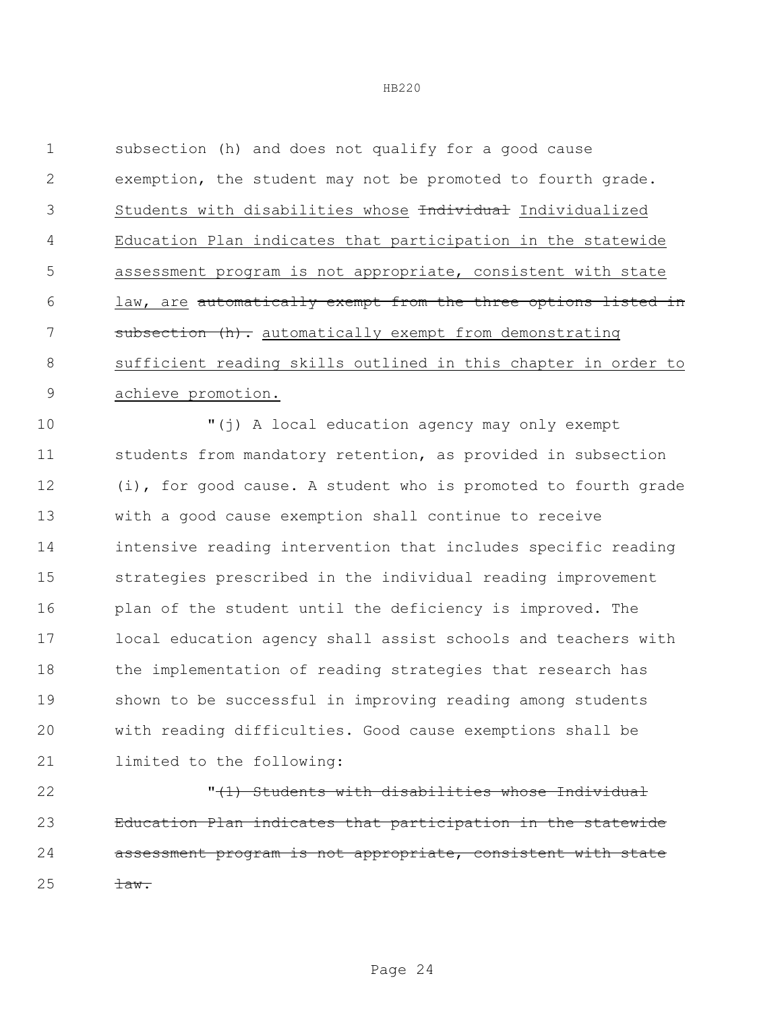subsection (h) and does not qualify for a good cause exemption, the student may not be promoted to fourth grade. 3 Students with disabilities whose findividual Individualized Education Plan indicates that participation in the statewide assessment program is not appropriate, consistent with state law, are automatically exempt from the three options listed in 7 subsection (h). automatically exempt from demonstrating sufficient reading skills outlined in this chapter in order to achieve promotion.

 "(j) A local education agency may only exempt students from mandatory retention, as provided in subsection (i), for good cause. A student who is promoted to fourth grade with a good cause exemption shall continue to receive intensive reading intervention that includes specific reading strategies prescribed in the individual reading improvement 16 plan of the student until the deficiency is improved. The local education agency shall assist schools and teachers with the implementation of reading strategies that research has shown to be successful in improving reading among students with reading difficulties. Good cause exemptions shall be limited to the following:

 "(1) Students with disabilities whose Individual Education Plan indicates that participation in the statewide assessment program is not appropriate, consistent with state  $25 \frac{1}{20}$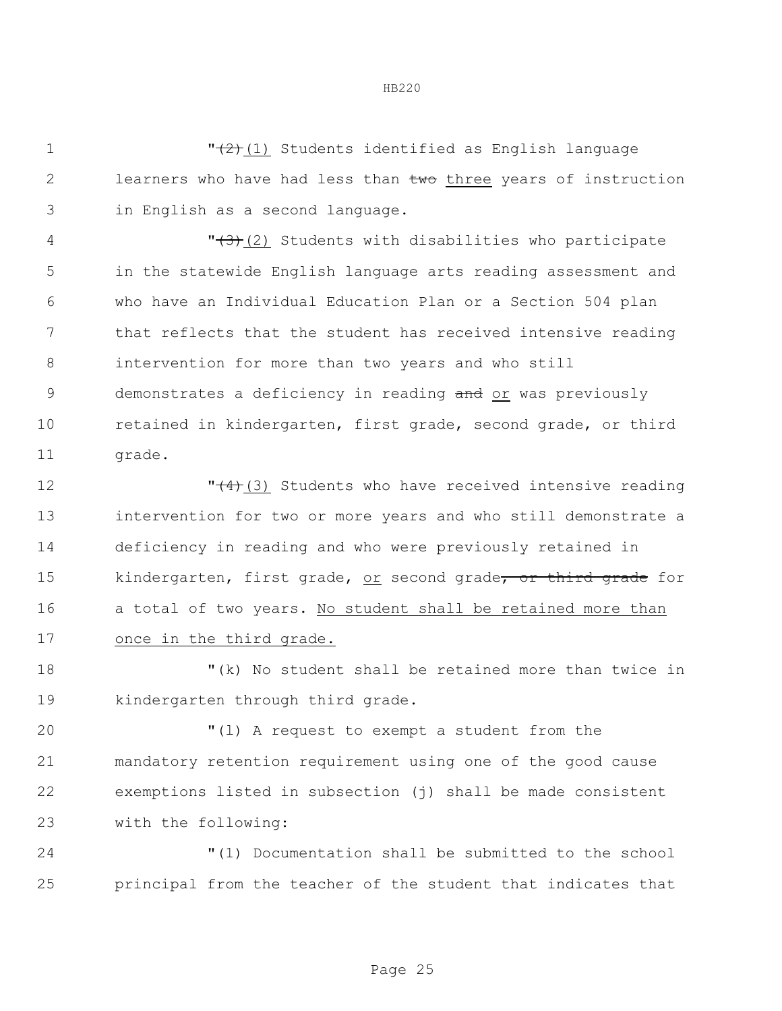$\sqrt{(2)(1)}$  Students identified as English language 2 learners who have had less than two three years of instruction in English as a second language.  $\sqrt{(3)}$ (2) Students with disabilities who participate in the statewide English language arts reading assessment and who have an Individual Education Plan or a Section 504 plan that reflects that the student has received intensive reading intervention for more than two years and who still 9 demonstrates a deficiency in reading and or was previously 10 retained in kindergarten, first grade, second grade, or third 11 grade.

 $\sqrt{(4)}$ (3) Students who have received intensive reading intervention for two or more years and who still demonstrate a deficiency in reading and who were previously retained in 15 kindergarten, first grade, or second grade, or third grade for 16 a total of two years. No student shall be retained more than once in the third grade.

18 "(k) No student shall be retained more than twice in 19 kindergarten through third grade.

 "(l) A request to exempt a student from the mandatory retention requirement using one of the good cause exemptions listed in subsection (j) shall be made consistent with the following:

24 "(1) Documentation shall be submitted to the school 25 principal from the teacher of the student that indicates that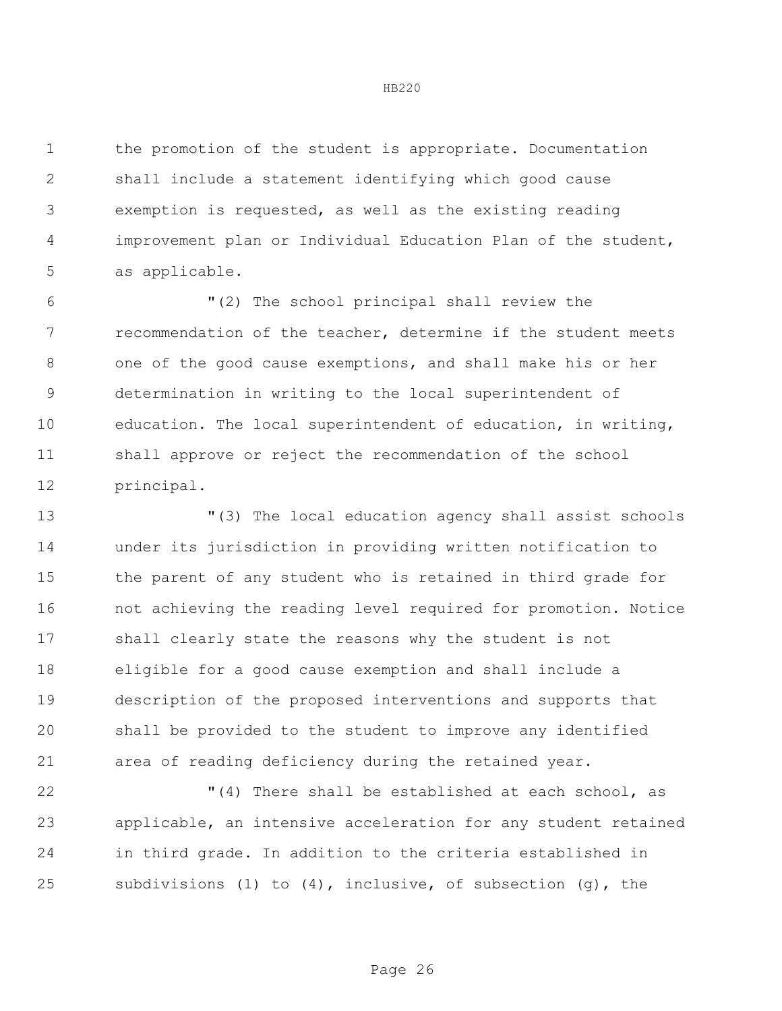the promotion of the student is appropriate. Documentation shall include a statement identifying which good cause exemption is requested, as well as the existing reading improvement plan or Individual Education Plan of the student, as applicable.

 "(2) The school principal shall review the recommendation of the teacher, determine if the student meets one of the good cause exemptions, and shall make his or her determination in writing to the local superintendent of education. The local superintendent of education, in writing, shall approve or reject the recommendation of the school principal.

 "(3) The local education agency shall assist schools under its jurisdiction in providing written notification to the parent of any student who is retained in third grade for not achieving the reading level required for promotion. Notice shall clearly state the reasons why the student is not eligible for a good cause exemption and shall include a description of the proposed interventions and supports that shall be provided to the student to improve any identified area of reading deficiency during the retained year.

 "(4) There shall be established at each school, as applicable, an intensive acceleration for any student retained in third grade. In addition to the criteria established in subdivisions (1) to (4), inclusive, of subsection (g), the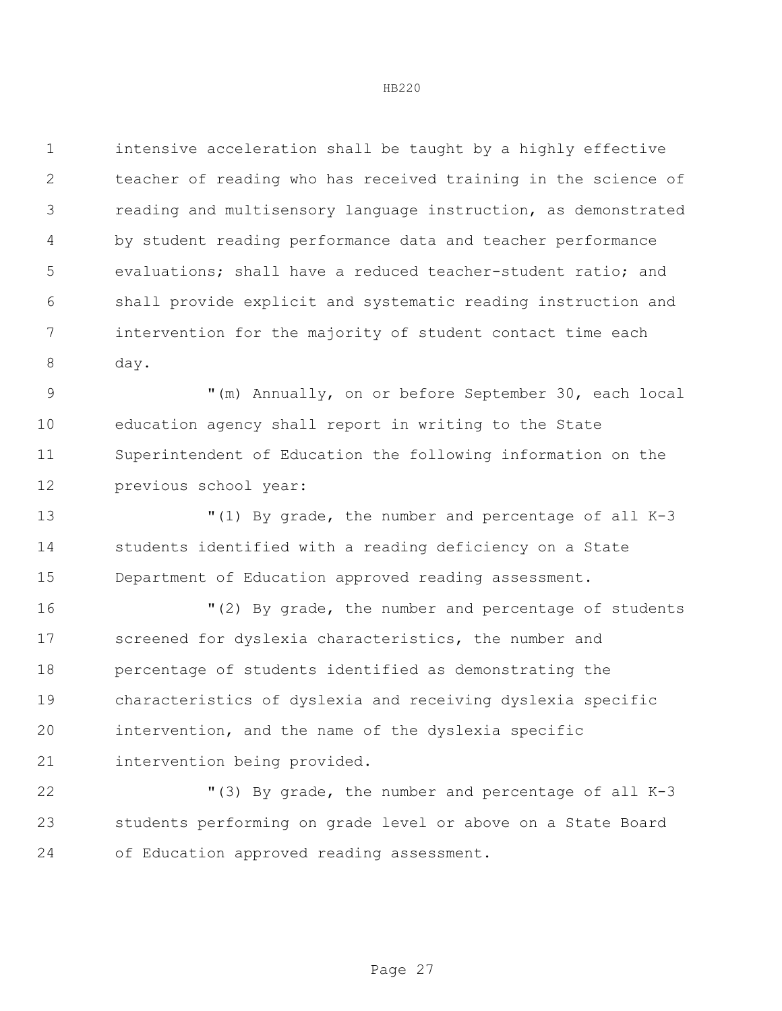intensive acceleration shall be taught by a highly effective teacher of reading who has received training in the science of reading and multisensory language instruction, as demonstrated by student reading performance data and teacher performance evaluations; shall have a reduced teacher-student ratio; and shall provide explicit and systematic reading instruction and intervention for the majority of student contact time each day.

 "(m) Annually, on or before September 30, each local education agency shall report in writing to the State Superintendent of Education the following information on the previous school year:

 "(1) By grade, the number and percentage of all K-3 students identified with a reading deficiency on a State Department of Education approved reading assessment.

 "(2) By grade, the number and percentage of students screened for dyslexia characteristics, the number and percentage of students identified as demonstrating the characteristics of dyslexia and receiving dyslexia specific intervention, and the name of the dyslexia specific intervention being provided.

 "(3) By grade, the number and percentage of all K-3 students performing on grade level or above on a State Board of Education approved reading assessment.

Page 27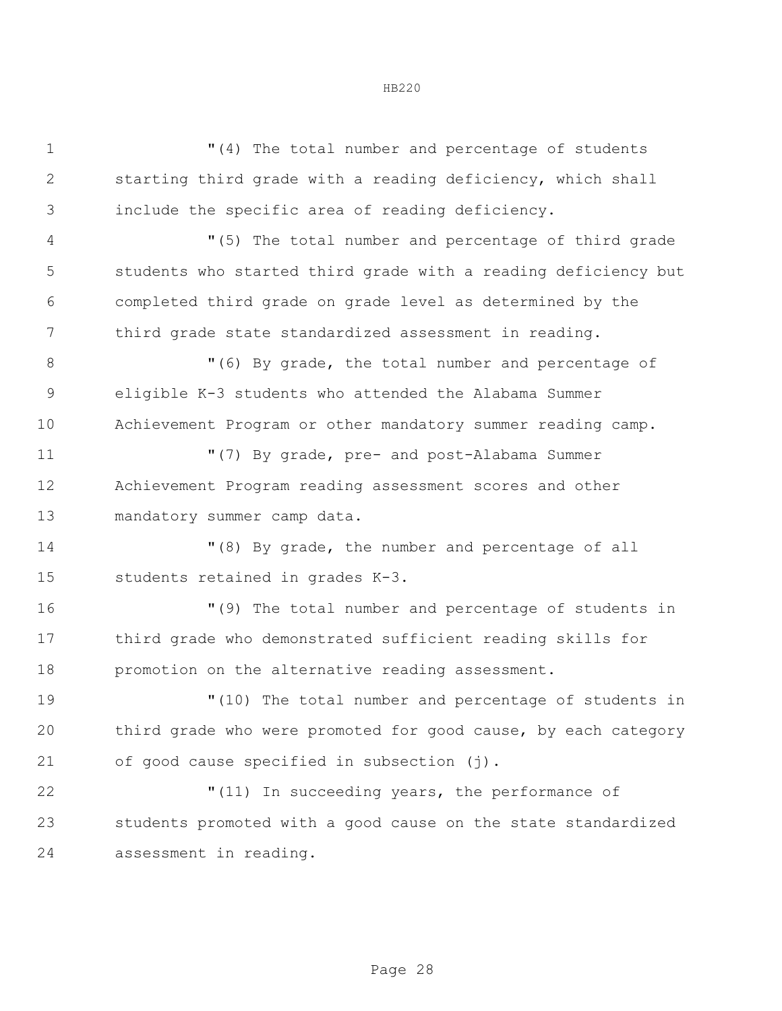| $\mathbf 1$    | "(4) The total number and percentage of students               |  |  |  |
|----------------|----------------------------------------------------------------|--|--|--|
| $\overline{2}$ | starting third grade with a reading deficiency, which shall    |  |  |  |
| 3              | include the specific area of reading deficiency.               |  |  |  |
| 4              | "(5) The total number and percentage of third grade            |  |  |  |
| 5              | students who started third grade with a reading deficiency but |  |  |  |
| 6              | completed third grade on grade level as determined by the      |  |  |  |
| 7              | third grade state standardized assessment in reading.          |  |  |  |
| 8              | "(6) By grade, the total number and percentage of              |  |  |  |
| $\mathcal{G}$  | eligible K-3 students who attended the Alabama Summer          |  |  |  |
| 10             | Achievement Program or other mandatory summer reading camp.    |  |  |  |
| 11             | "(7) By grade, pre- and post-Alabama Summer                    |  |  |  |
| 12             | Achievement Program reading assessment scores and other        |  |  |  |
| 13             | mandatory summer camp data.                                    |  |  |  |
| 14             | "(8) By grade, the number and percentage of all                |  |  |  |
| 15             | students retained in grades K-3.                               |  |  |  |
| 16             | "(9) The total number and percentage of students in            |  |  |  |
| 17             | third grade who demonstrated sufficient reading skills for     |  |  |  |
| 18             | promotion on the alternative reading assessment.               |  |  |  |
| 19             | "(10) The total number and percentage of students in           |  |  |  |
| 20             | third grade who were promoted for good cause, by each category |  |  |  |
| 21             | of good cause specified in subsection (j).                     |  |  |  |
| 22             | "(11) In succeeding years, the performance of                  |  |  |  |
| 23             | students promoted with a good cause on the state standardized  |  |  |  |
| 24             | assessment in reading.                                         |  |  |  |
|                |                                                                |  |  |  |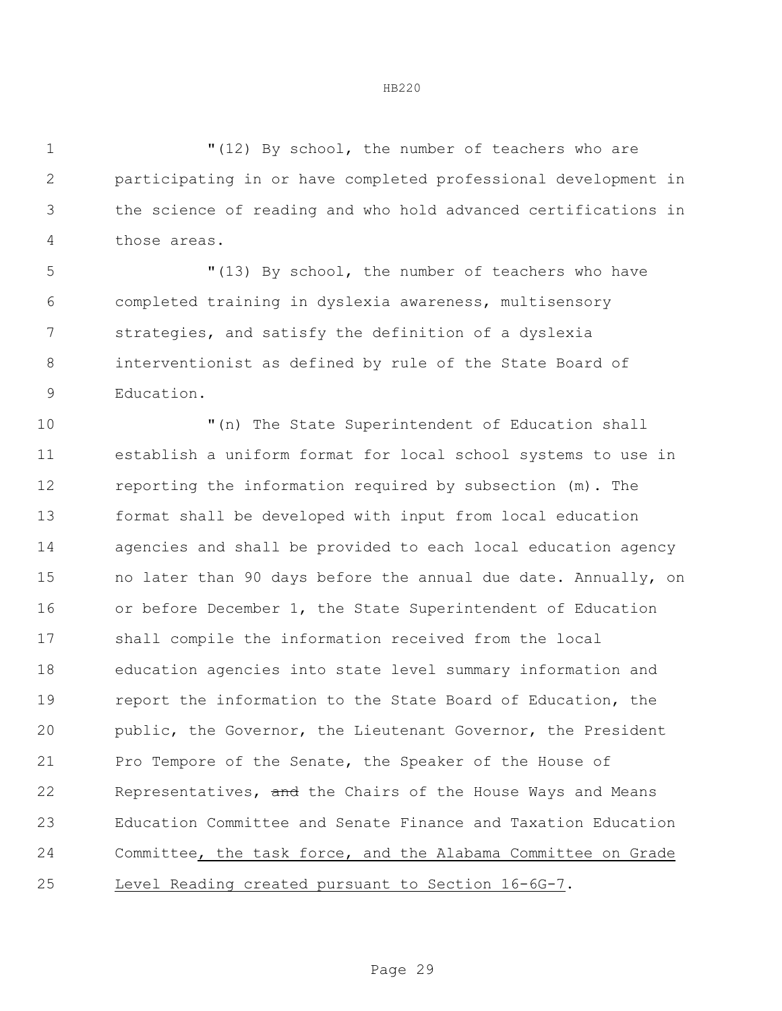"(12) By school, the number of teachers who are participating in or have completed professional development in the science of reading and who hold advanced certifications in those areas.

 "(13) By school, the number of teachers who have completed training in dyslexia awareness, multisensory strategies, and satisfy the definition of a dyslexia interventionist as defined by rule of the State Board of Education.

 "(n) The State Superintendent of Education shall establish a uniform format for local school systems to use in reporting the information required by subsection (m). The format shall be developed with input from local education agencies and shall be provided to each local education agency no later than 90 days before the annual due date. Annually, on or before December 1, the State Superintendent of Education shall compile the information received from the local education agencies into state level summary information and **report the information to the State Board of Education, the**  public, the Governor, the Lieutenant Governor, the President Pro Tempore of the Senate, the Speaker of the House of 22 Representatives, and the Chairs of the House Ways and Means Education Committee and Senate Finance and Taxation Education Committee, the task force, and the Alabama Committee on Grade Level Reading created pursuant to Section 16-6G-7.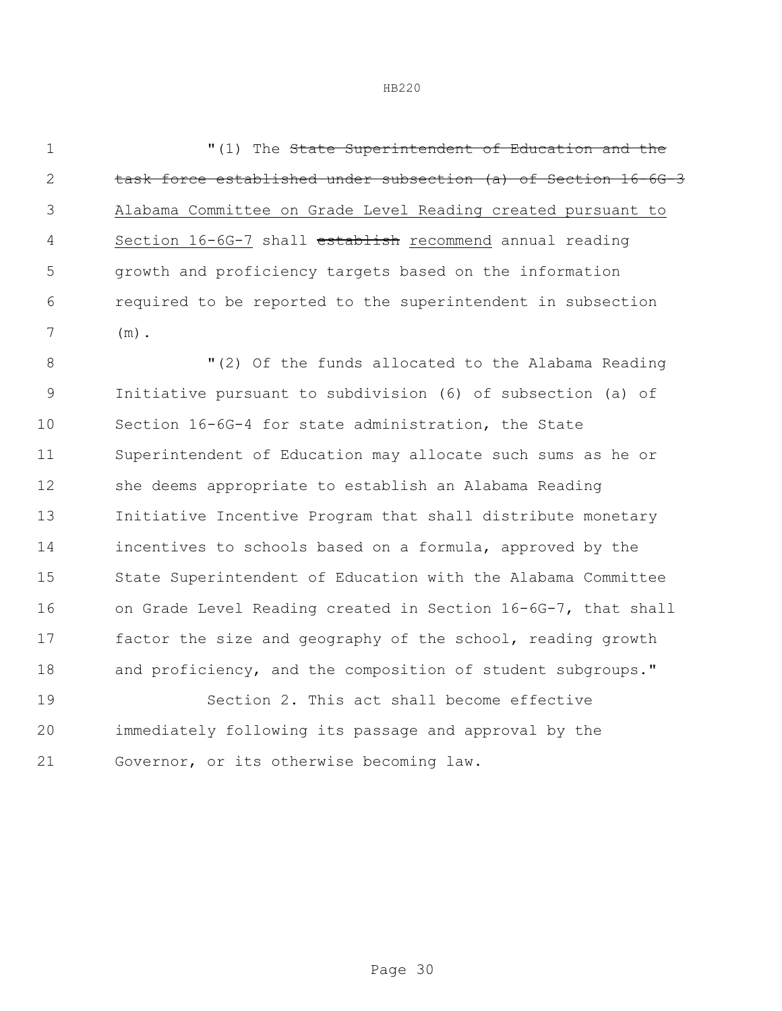**1 1**  $(1)$  The State Superintendent of Education and the task force established under subsection (a) of Section 16-6G-3 Alabama Committee on Grade Level Reading created pursuant to Section 16-6G-7 shall establish recommend annual reading growth and proficiency targets based on the information required to be reported to the superintendent in subsection (m).

 "(2) Of the funds allocated to the Alabama Reading Initiative pursuant to subdivision (6) of subsection (a) of Section 16-6G-4 for state administration, the State Superintendent of Education may allocate such sums as he or she deems appropriate to establish an Alabama Reading Initiative Incentive Program that shall distribute monetary incentives to schools based on a formula, approved by the State Superintendent of Education with the Alabama Committee on Grade Level Reading created in Section 16-6G-7, that shall factor the size and geography of the school, reading growth 18 and proficiency, and the composition of student subgroups."

 Section 2. This act shall become effective immediately following its passage and approval by the Governor, or its otherwise becoming law.